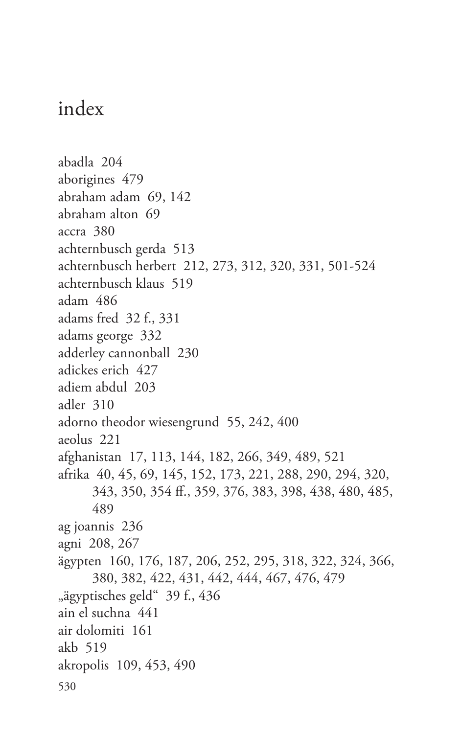abadla 204 aborigines 479 abraham adam 69, 142 abraham alton 69 accra 380 achternbusch gerda 513 achternbusch herbert 212, 273, 312, 320, 331, 501-524 achternbusch klaus 519 adam 486 adams fred 32 f., 331 adams george 332 adderley cannonball 230 adickes erich 427 adiem abdul 203 adler 310 adorno theodor wiesengrund 55, 242, 400 aeolus 221 afghanistan 17, 113, 144, 182, 266, 349, 489, 521 afrika 40, 45, 69, 145, 152, 173, 221, 288, 290, 294, 320, 343, 350, 354 ff., 359, 376, 383, 398, 438, 480, 485, 489 ag joannis 236 agni 208, 267 ägypten 160, 176, 187, 206, 252, 295, 318, 322, 324, 366, 380, 382, 422, 431, 442, 444, 467, 476, 479 "ägyptisches geld" 39 f., 436 ain el suchna 441 air dolomiti 161 akb 519 akropolis 109, 453, 490 530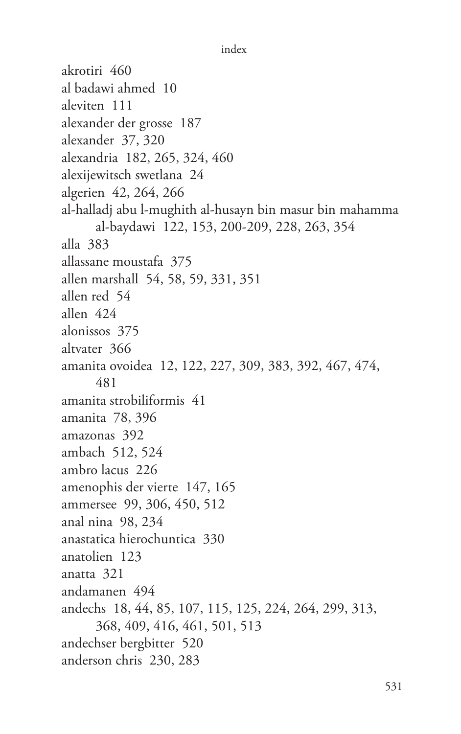```
index
```
akrotiri 460 al badawi ahmed 10 aleviten 111 alexander der grosse 187 alexander 37, 320 alexandria 182, 265, 324, 460 alexijewitsch swetlana 24 algerien 42, 264, 266 al-halladj abu l-mughith al-husayn bin masur bin mahamma al-baydawi 122, 153, 200-209, 228, 263, 354 alla 383 allassane moustafa 375 allen marshall 54, 58, 59, 331, 351 allen red 54 allen 424 alonissos 375 altvater 366 amanita ovoidea 12, 122, 227, 309, 383, 392, 467, 474, 481 amanita strobiliformis 41 amanita 78, 396 amazonas 392 ambach 512, 524 ambro lacus 226 amenophis der vierte 147, 165 ammersee 99, 306, 450, 512 anal nina 98, 234 anastatica hierochuntica 330 anatolien 123 anatta 321 andamanen 494 andechs 18, 44, 85, 107, 115, 125, 224, 264, 299, 313, 368, 409, 416, 461, 501, 513 andechser bergbitter 520 anderson chris 230, 283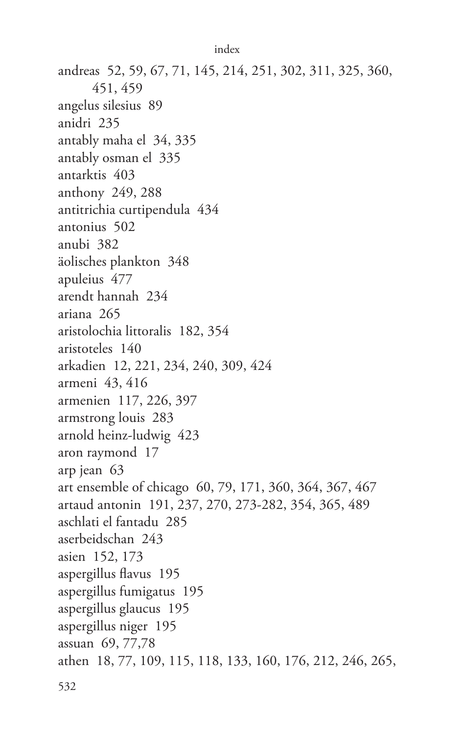andreas 52, 59, 67, 71, 145, 214, 251, 302, 311, 325, 360, 451, 459 angelus silesius 89 anidri 235 antably maha el 34, 335 antably osman el 335 antarktis 403 anthony 249, 288 antitrichia curtipendula 434 antonius 502 anubi 382 äolisches plankton 348 apuleius 477 arendt hannah 234 ariana 265 aristolochia littoralis 182, 354 aristoteles 140 arkadien 12, 221, 234, 240, 309, 424 armeni 43, 416 armenien 117, 226, 397 armstrong louis 283 arnold heinz-ludwig 423 aron raymond 17 arp jean 63 art ensemble of chicago 60, 79, 171, 360, 364, 367, 467 artaud antonin 191, 237, 270, 273-282, 354, 365, 489 aschlati el fantadu 285 aserbeidschan 243 asien 152, 173 aspergillus flavus 195 aspergillus fumigatus 195 aspergillus glaucus 195 aspergillus niger 195 assuan 69, 77,78 athen 18, 77, 109, 115, 118, 133, 160, 176, 212, 246, 265,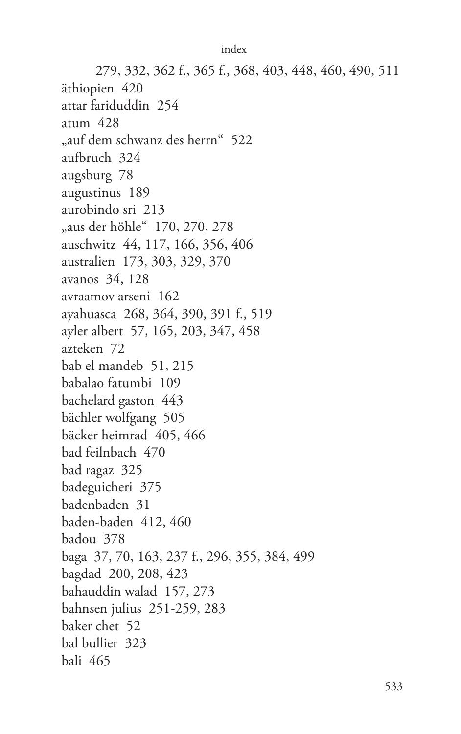279, 332, 362 f., 365 f., 368, 403, 448, 460, 490, 511 äthiopien 420 attar fariduddin 254  $atum$  428 "auf dem schwanz des herrn" 522 aufbruch 324 augsburg 78 augustinus 189 aurobindo sri 213 "aus der höhle" 170, 270, 278 auschwitz 44, 117, 166, 356, 406 australien 173, 303, 329, 370 avanos 34, 128 avraamov arseni 162 ayahuasca 268, 364, 390, 391 f., 519 ayler albert 57, 165, 203, 347, 458 azteken 72 bab el mandeb 51, 215 babalao fatumbi 109 bachelard gaston 443 bächler wolfgang 505 bäcker heimrad 405, 466 bad feilnbach 470 bad ragaz 325 badeguicheri 375 badenbaden 31 baden-baden 412, 460 badou 378 baga 37, 70, 163, 237 f., 296, 355, 384, 499 bagdad 200, 208, 423 bahauddin walad 157, 273 bahnsen julius 251-259, 283 baker chet 52 bal bullier 323 bali 465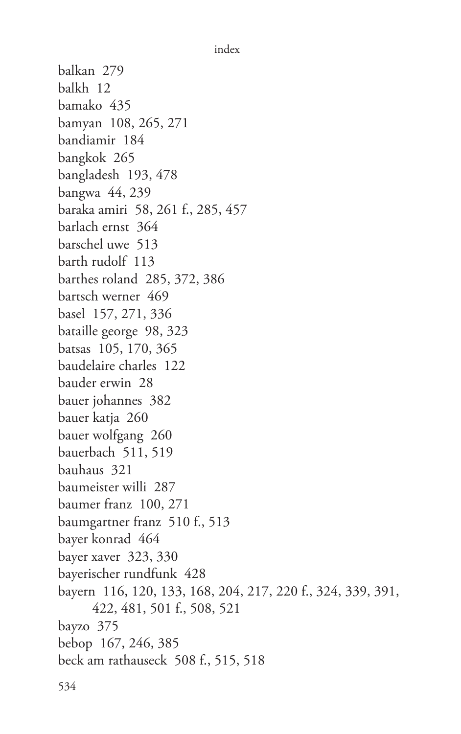balkan 279 balkh 12 bamako 435 bamyan 108, 265, 271 bandiamir 184 bangkok 265 bangladesh 193, 478 bangwa 44, 239 baraka amiri 58, 261 f., 285, 457 barlach ernst 364 barschel uwe 513 barth rudolf 113 barthes roland 285, 372, 386 bartsch werner 469 basel 157, 271, 336 bataille george 98, 323 batsas 105, 170, 365 baudelaire charles 122 bauder erwin 28 bauer johannes 382 bauer katja 260 bauer wolfgang 260 bauerbach 511, 519 bauhaus 321 baumeister willi 287 baumer franz 100, 271 baumgartner franz 510 f., 513 bayer konrad 464 bayer xaver 323, 330 bayerischer rundfunk 428 bayern 116, 120, 133, 168, 204, 217, 220 f., 324, 339, 391, 422, 481, 501 f., 508, 521 bayzo 375 bebop 167, 246, 385 beck am rathauseck 508 f., 515, 518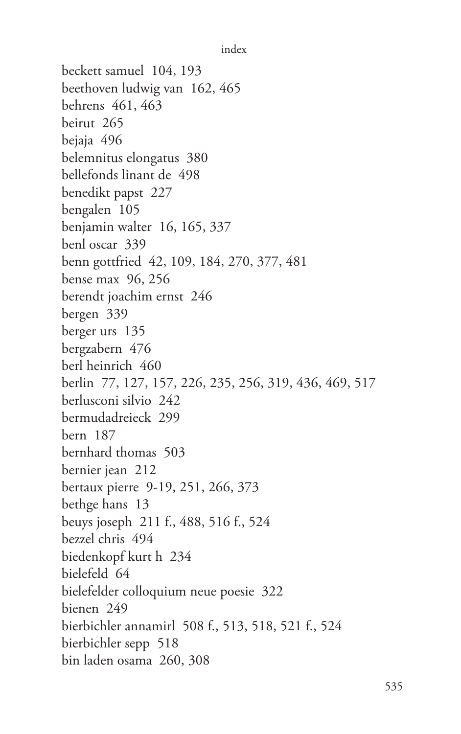```
index
```
beckett samuel 104, 193 beethoven ludwig van 162, 465 behrens 461, 463 beirut 265 bejaja 496 belemnitus elongatus 380 bellefonds linant de 498 benedikt papst 227 bengalen 105 benjamin walter 16, 165, 337 benl oscar 339 benn gottfried 42, 109, 184, 270, 377, 481 bense max 96, 256 berendt joachim ernst 246 bergen 339 berger urs 135 bergzabern 476 berl heinrich 460 berlin 77, 127, 157, 226, 235, 256, 319, 436, 469, 517 berlusconi silvio 242 bermudadreieck 299 bern 187 bernhard thomas 503 bernier jean 212 bertaux pierre 9-19, 251, 266, 373 bethge hans 13 beuys joseph 211 f., 488, 516 f., 524 bezzel chris 494 biedenkopf kurt h 234 bielefeld 64 bielefelder colloquium neue poesie 322 bienen 249 bierbichler annamirl 508 f., 513, 518, 521 f., 524 bierbichler sepp 518 bin laden osama 260, 308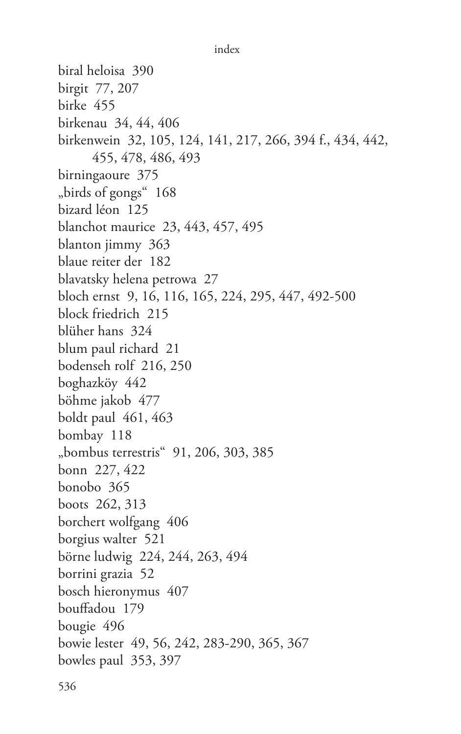```
index
```
biral heloisa 390 birgit 77, 207 birke 455 birkenau 34, 44, 406 birkenwein 32, 105, 124, 141, 217, 266, 394 f., 434, 442, 455, 478, 486, 493 birningaoure 375 "birds of gongs" 168 bizard léon 125 blanchot maurice 23, 443, 457, 495 blanton jimmy 363 blaue reiter der 182 blavatsky helena petrowa 27 bloch ernst 9, 16, 116, 165, 224, 295, 447, 492-500 block friedrich 215 blüher hans 324 blum paul richard 21 bodenseh rolf 216, 250 boghazköy 442 böhme jakob 477 boldt paul 461, 463 bombay 118 "bombus terrestris" 91, 206, 303, 385 bonn 227, 422 bonobo 365 boots 262, 313 borchert wolfgang 406 borgius walter 521 börne ludwig 224, 244, 263, 494 borrini grazia 52 bosch hieronymus 407 bouffadou 179 bougie 496 bowie lester 49, 56, 242, 283-290, 365, 367 bowles paul 353, 397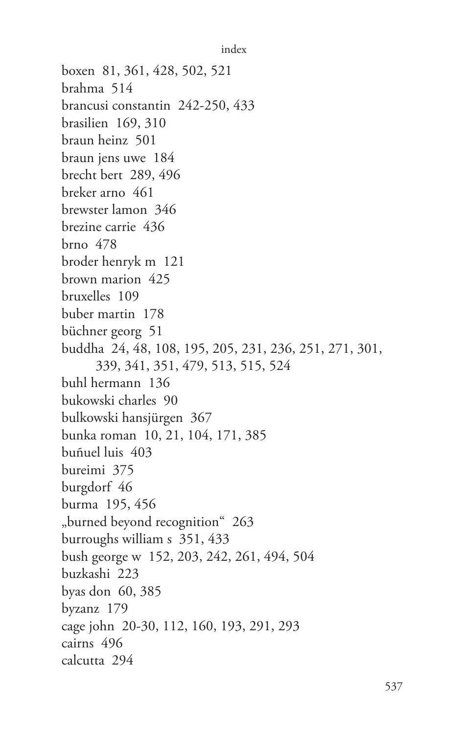```
index
```
boxen 81, 361, 428, 502, 521 brahma 514 brancusi constantin 242-250, 433 brasilien 169, 310 braun heinz 501 braun jens uwe 184 brecht bert 289, 496 breker arno 461 brewster lamon 346 brezine carrie 436 brno 478 broder henryk m 121 brown marion 425 bruxelles 109 buber martin 178 büchner georg 51 buddha 24, 48, 108, 195, 205, 231, 236, 251, 271, 301, 339, 341, 351, 479, 513, 515, 524 buhl hermann 136 bukowski charles 90 bulkowski hansjürgen 367 bunka roman 10, 21, 104, 171, 385 buñuel luis 403 bureimi 375 burgdorf 46 burma 195, 456 "burned beyond recognition" 263 burroughs william s 351, 433 bush george w 152, 203, 242, 261, 494, 504 buzkashi 223 byas don 60, 385 byzanz 179 cage john 20-30, 112, 160, 193, 291, 293 cairns 496 calcutta 294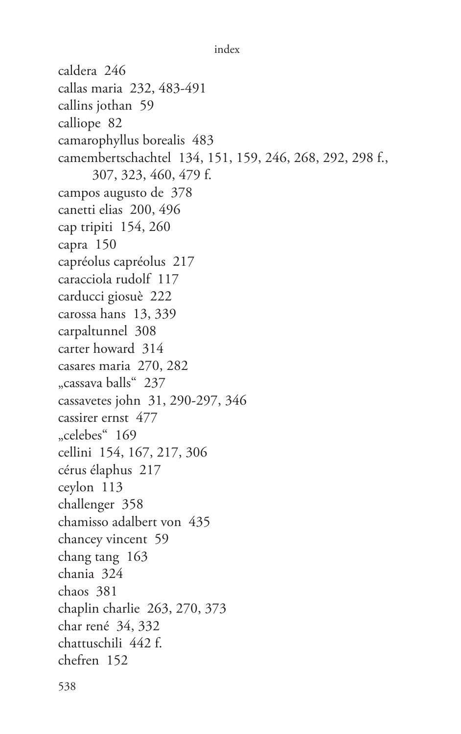```
index
```
caldera 246 callas maria 232, 483-491 callins jothan 59 calliope 82 camarophyllus borealis 483 camembertschachtel 134, 151, 159, 246, 268, 292, 298 f., 307, 323, 460, 479 f. campos augusto de 378 canetti elias 200, 496 cap tripiti 154, 260 capra 150 capréolus capréolus 217 caracciola rudolf 117 carducci giosuè 222 carossa hans 13, 339 carpaltunnel 308 carter howard 314 casares maria 270, 282 "cassava balls" 237 cassavetes john 31, 290-297, 346 cassirer ernst 477 "celebes" 169 cellini 154, 167, 217, 306 cérus élaphus 217 ceylon 113 challenger 358 chamisso adalbert von 435 chancey vincent 59 chang tang 163 chania 324 chaos 381 chaplin charlie 263, 270, 373 char rené 34, 332 chattuschili 442 f. chefren 152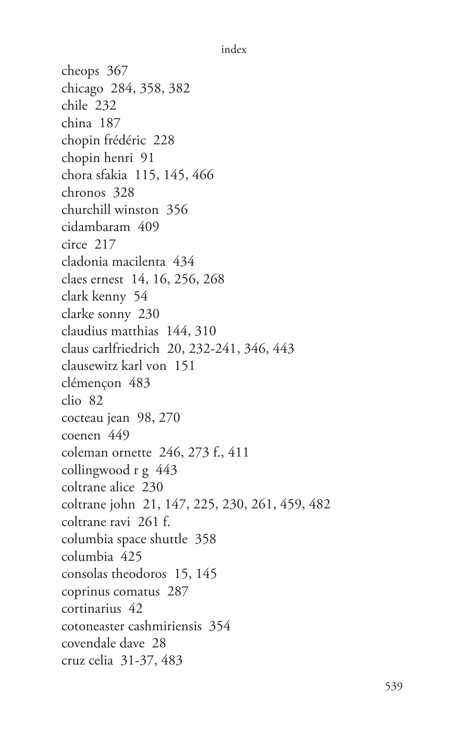cheops 367 chicago 284, 358, 382 chile 232 china 187 chopin frédéric 228 chopin henri 91 chora sfakia 115, 145, 466 chronos 328 churchill winston 356 cidambaram 409 circe 217 cladonia macilenta 434 claes ernest 14, 16, 256, 268 clark kenny 54 clarke sonny 230 claudius matthias 144, 310 claus carlfriedrich 20, 232-241, 346, 443 clausewitz karl von 151 clémençon 483 clio 82 cocteau jean 98, 270 coenen 449 coleman ornette 246, 273 f., 411 collingwood r g 443 coltrane alice 230 coltrane john 21, 147, 225, 230, 261, 459, 482 coltrane ravi 261 f. columbia space shuttle 358 columbia 425 consolas theodoros 15, 145 coprinus comatus 287 cortinarius 42 cotoneaster cashmiriensis 354 covendale dave 28 cruz celia 31-37, 483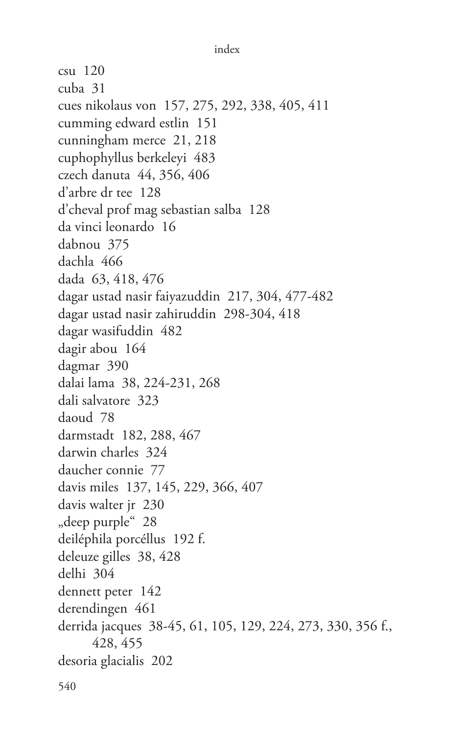csu 120 cuba 31 cues nikolaus von 157, 275, 292, 338, 405, 411 cumming edward estlin 151 cunningham merce 21, 218 cuphophyllus berkeleyi 483 czech danuta 44, 356, 406 d'arbre dr tee 128 d'cheval prof mag sebastian salba 128 da vinci leonardo 16 dabnou 375 dachla 466 dada 63, 418, 476 dagar ustad nasir faiyazuddin 217, 304, 477-482 dagar ustad nasir zahiruddin 298-304, 418 dagar wasifuddin 482 dagir abou 164 dagmar 390 dalai lama 38, 224-231, 268 dali salvatore 323 daoud 78 darmstadt 182, 288, 467 darwin charles 324 daucher connie 77 davis miles 137, 145, 229, 366, 407 davis walter jr 230 "deep purple" 28 deiléphila porcéllus 192 f. deleuze gilles 38, 428 delhi 304 dennett peter 142 derendingen 461 derrida jacques 38-45, 61, 105, 129, 224, 273, 330, 356 f., 428, 455 desoria glacialis 202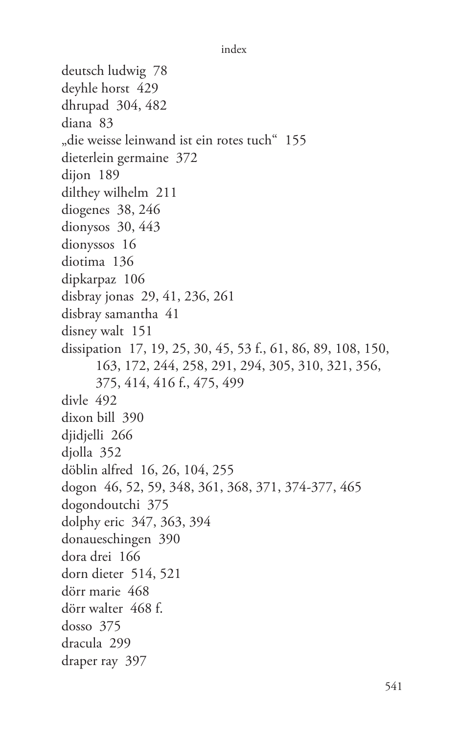```
index
```
deutsch ludwig 78 deyhle horst 429 dhrupad 304, 482 diana 83 "die weisse leinwand ist ein rotes tuch" 155 dieterlein germaine 372  $dijon$  189 dilthey wilhelm 211 diogenes 38, 246 dionysos  $30, 443$ dionyssos 16 diotima 136 dipkarpaz 106 disbray jonas 29, 41, 236, 261 disbray samantha 41 disney walt 151 dissipation 17, 19, 25, 30, 45, 53 f., 61, 86, 89, 108, 150, 163, 172, 244, 258, 291, 294, 305, 310, 321, 356, 375, 414, 416 f., 475, 499 divle 492 dixon bill 390 djidjelli 266 djolla 352 döblin alfred 16, 26, 104, 255 dogon 46, 52, 59, 348, 361, 368, 371, 374-377, 465 dogondoutchi 375 dolphy eric 347, 363, 394 donaueschingen 390 dora drei 166 dorn dieter 514, 521 dörr marie 468 dörr walter 468 f. dosso 375 dracula 299 draper ray 397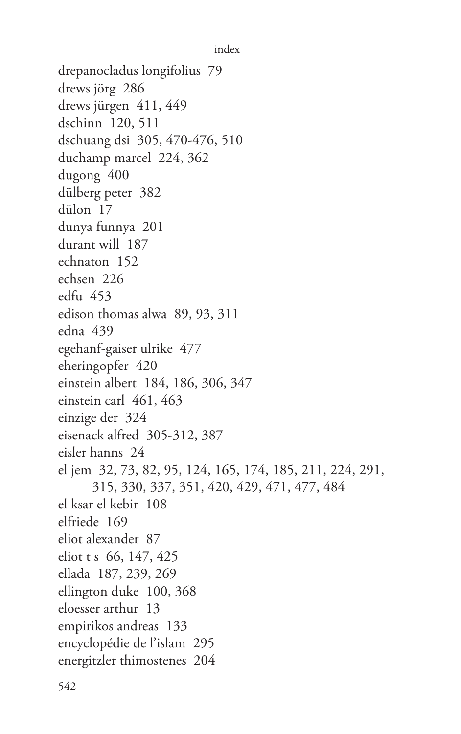```
index
```
drepanocladus longifolius 79 drews jörg 286 drews jürgen 411, 449 dschinn 120, 511 dschuang dsi 305, 470-476, 510 duchamp marcel 224, 362 dugong 400 dülberg peter 382 dülon 17 dunya funnya 201 durant will 187 echnaton 152 echsen 226 edfu 453 edison thomas alwa 89, 93, 311 edna 439 egehanf-gaiser ulrike 477 eheringopfer 420 einstein albert 184, 186, 306, 347 einstein carl 461, 463 einzige der 324 eisenack alfred 305-312, 387 eisler hanns 24 el jem 32, 73, 82, 95, 124, 165, 174, 185, 211, 224, 291, 315, 330, 337, 351, 420, 429, 471, 477, 484 el ksar el kebir 108 elfriede 169 eliot alexander 87 eliot t s 66, 147, 425 ellada 187, 239, 269 ellington duke 100, 368 eloesser arthur 13 empirikos andreas 133 encyclopédie de l'islam 295 energitzler thimostenes 204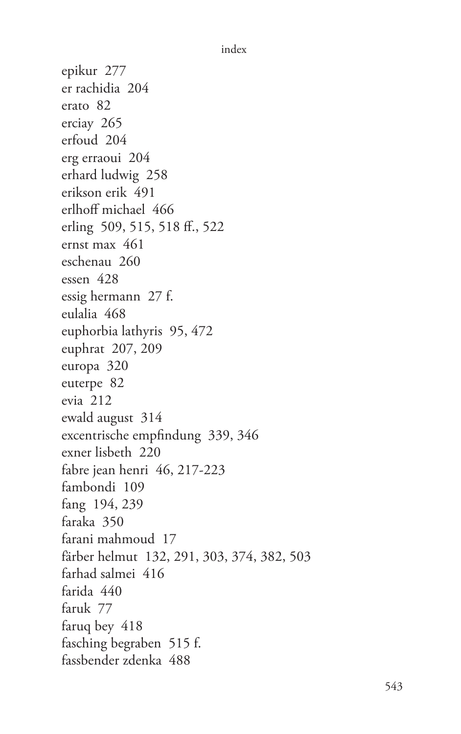epikur 277 er rachidia 204 erato 82 erciay 265 erfoud 204 erg erraoui 204 erhard ludwig 258 erikson erik 491 erlhoff michael 466 erling 509, 515, 518 ff., 522 ernst max 461 eschenau 260 essen 428 essig hermann 27 f. eulalia 468 euphorbia lathyris 95, 472 euphrat 207, 209 europa 320 euterpe 82 evia 212 ewald august 314 excentrische empfindung 339, 346 exner lisbeth 220 fabre jean henri 46, 217-223 fambondi 109 fang 194, 239 faraka 350 farani mahmoud 17 färber helmut 132, 291, 303, 374, 382, 503 farhad salmei 416 farida 440 faruk 77 faruq bey 418 fasching begraben 515 f. fassbender zdenka 488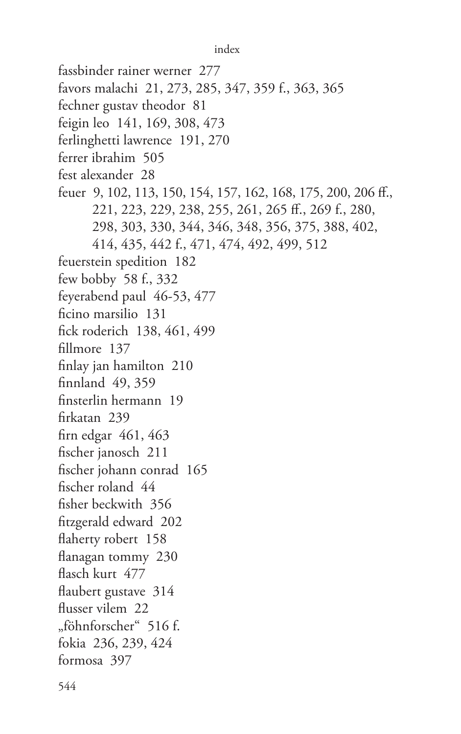```
index
```
fassbinder rainer werner 277 favors malachi 21, 273, 285, 347, 359 f., 363, 365 fechner gustav theodor 81 feigin leo 141, 169, 308, 473 ferlinghetti lawrence 191, 270 ferrer ibrahim 505 fest alexander 28 feuer 9, 102, 113, 150, 154, 157, 162, 168, 175, 200, 206 ff., 221, 223, 229, 238, 255, 261, 265 ff., 269 f., 280, 298, 303, 330, 344, 346, 348, 356, 375, 388, 402, 414, 435, 442 f., 471, 474, 492, 499, 512 feuerstein spedition 182 few bobby 58 f., 332 feyerabend paul 46-53, 477 ficino marsilio 131 fick roderich 138, 461, 499 fillmore 137 finlay jan hamilton 210 finnland 49, 359 finsterlin hermann 19 firkatan 239 firn edgar 461, 463 fischer janosch 211 fischer johann conrad 165 fischer roland 44 fisher beckwith 356 fitzgerald edward 202 flaherty robert 158 flanagan tommy 230 flasch kurt 477 flaubert gustave 314 flusser vilem 22 "föhnforscher" 516 f. fokia 236, 239, 424 formosa 397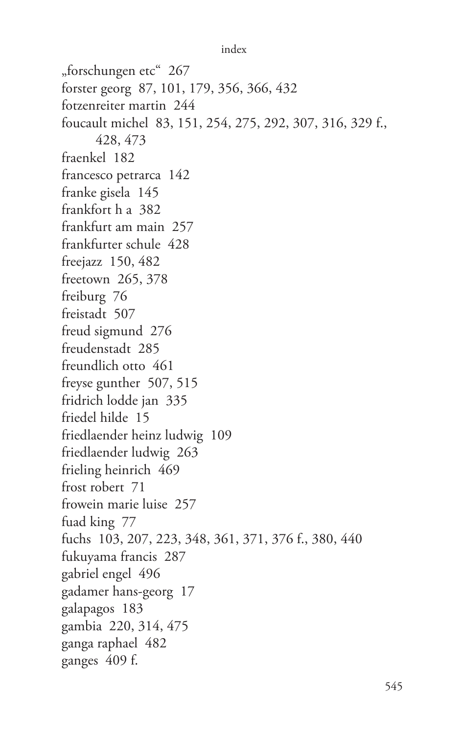"forschungen etc" 267 forster georg 87, 101, 179, 356, 366, 432 fotzenreiter martin 244 foucault michel 83, 151, 254, 275, 292, 307, 316, 329 f., 428, 473 fraenkel 182 francesco petrarca 142 franke gisela 145 frankfort h a 382 frankfurt am main 257 frankfurter schule 428 freejazz 150, 482 freetown 265, 378 freiburg 76 freistadt 507 freud sigmund 276 freudenstadt 285 freundlich otto 461 freyse gunther 507, 515 fridrich lodde jan 335 friedel hilde 15 friedlaender heinz ludwig 109 friedlaender ludwig 263 frieling heinrich 469 frost robert 71 frowein marie luise 257 fuad king 77 fuchs 103, 207, 223, 348, 361, 371, 376 f., 380, 440 fukuyama francis 287 gabriel engel 496 gadamer hans-georg 17 galapagos 183 gambia 220, 314, 475 ganga raphael 482 ganges 409 f.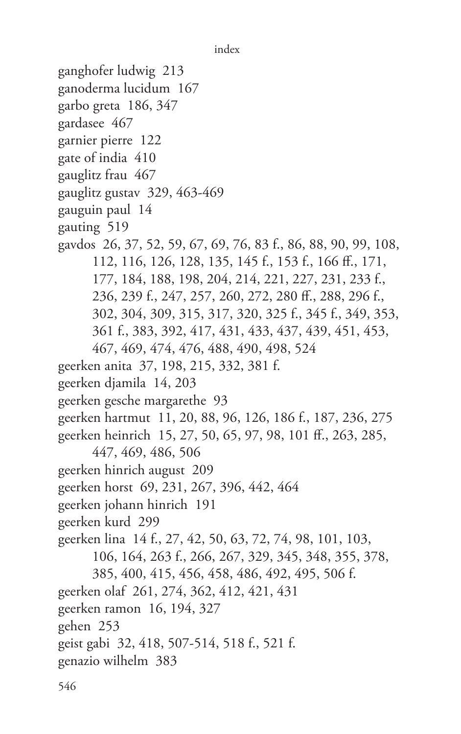```
index
```
ganghofer ludwig 213 ganoderma lucidum 167 garbo greta 186, 347 gardasee 467 garnier pierre 122 gate of india 410 gauglitz frau 467 gauglitz gustav 329, 463-469 gauguin paul 14 gauting 519 gavdos 26, 37, 52, 59, 67, 69, 76, 83 f., 86, 88, 90, 99, 108, 112, 116, 126, 128, 135, 145 f., 153 f., 166 ff., 171, 177, 184, 188, 198, 204, 214, 221, 227, 231, 233 f., 236, 239 f., 247, 257, 260, 272, 280 ff., 288, 296 f., 302, 304, 309, 315, 317, 320, 325 f., 345 f., 349, 353, 361 f., 383, 392, 417, 431, 433, 437, 439, 451, 453, 467, 469, 474, 476, 488, 490, 498, 524 geerken anita 37, 198, 215, 332, 381 f. geerken djamila 14, 203 geerken gesche margarethe 93 geerken hartmut 11, 20, 88, 96, 126, 186 f., 187, 236, 275 geerken heinrich 15, 27, 50, 65, 97, 98, 101 ff., 263, 285, 447, 469, 486, 506 geerken hinrich august 209 geerken horst 69, 231, 267, 396, 442, 464 geerken johann hinrich 191 geerken kurd 299 geerken lina 14 f., 27, 42, 50, 63, 72, 74, 98, 101, 103, 106, 164, 263 f., 266, 267, 329, 345, 348, 355, 378, 385, 400, 415, 456, 458, 486, 492, 495, 506 f. geerken olaf 261, 274, 362, 412, 421, 431 geerken ramon 16, 194, 327 gehen 253 geist gabi 32, 418, 507-514, 518 f., 521 f. genazio wilhelm 383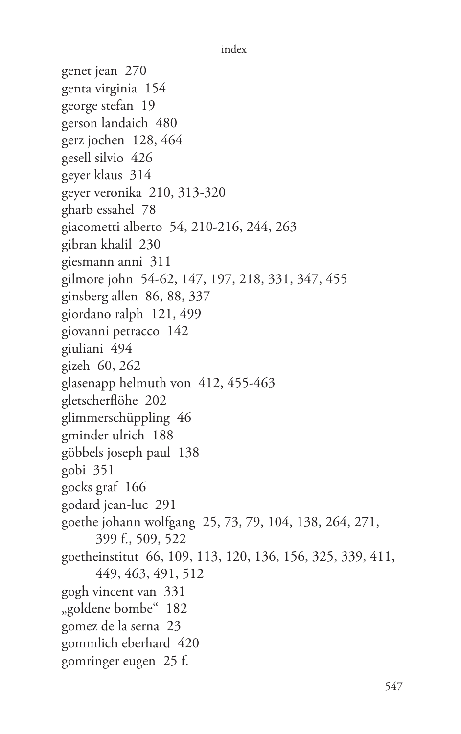```
index
```
genet jean 270 genta virginia 154 george stefan 19 gerson landaich 480 gerz jochen 128, 464 gesell silvio 426 geyer klaus 314 geyer veronika 210, 313-320 gharb essahel 78 giacometti alberto 54, 210-216, 244, 263 gibran khalil 230 giesmann anni 311 gilmore john 54-62, 147, 197, 218, 331, 347, 455 ginsberg allen 86, 88, 337 giordano ralph 121, 499 giovanni petracco 142 giuliani 494 gizeh 60, 262 glasenapp helmuth von 412, 455-463 gletscherflöhe 202 glimmerschüppling 46 gminder ulrich 188 göbbels joseph paul 138 gobi 351 gocks graf 166 godard jean-luc 291 goethe johann wolfgang 25, 73, 79, 104, 138, 264, 271, 399 f., 509, 522 goetheinstitut 66, 109, 113, 120, 136, 156, 325, 339, 411, 449, 463, 491, 512 gogh vincent van 331 "goldene bombe" 182 gomez de la serna 23 gommlich eberhard 420 gomringer eugen 25 f.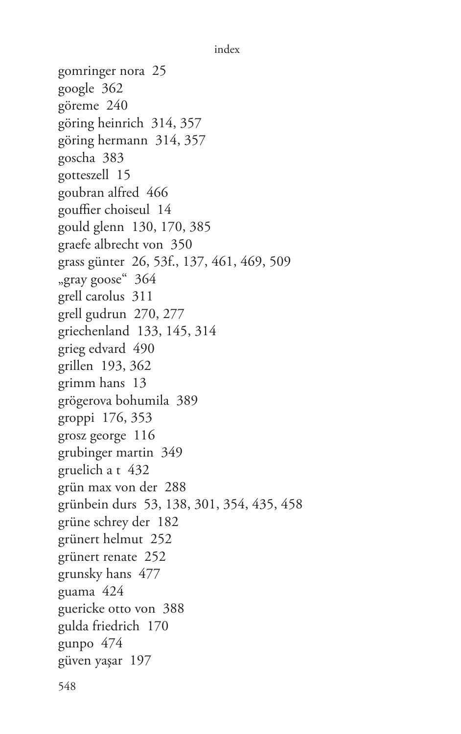```
index
```
gomringer nora 25 google 362 göreme 240 göring heinrich 314, 357 göring hermann 314, 357 goscha 383 gotteszell 15 goubran alfred 466 gouffier choiseul 14 gould glenn 130, 170, 385 graefe albrecht von 350 grass günter 26, 53f., 137, 461, 469, 509 "gray goose" 364 grell carolus 311 grell gudrun 270, 277 griechenland 133, 145, 314 grieg edvard 490 grillen 193, 362 grimm hans 13 grögerova bohumila 389 groppi 176, 353 grosz george 116 grubinger martin 349 gruelich a t 432 grün max von der 288 grünbein durs 53, 138, 301, 354, 435, 458 grüne schrey der 182 grünert helmut 252 grünert renate 252 grunsky hans 477 guama 424 guericke otto von 388 gulda friedrich 170 gunpo 474 güven yaşar 197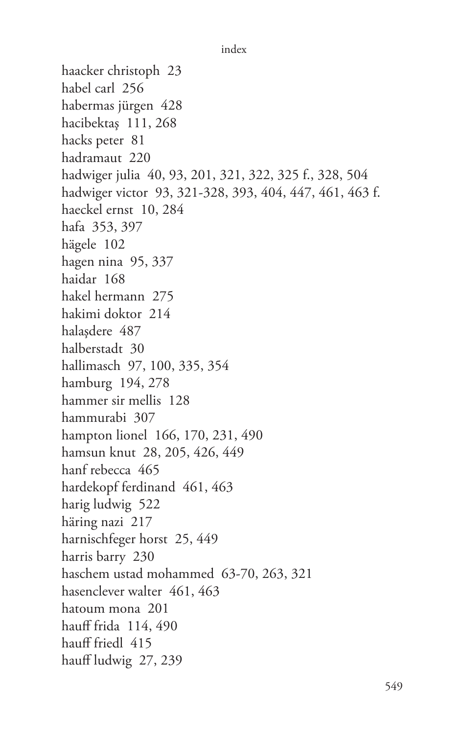```
index
```
haacker christoph 23 habel carl 256 habermas jürgen 428 hacibektaş 111, 268 hacks peter 81 hadramaut 220 hadwiger julia 40, 93, 201, 321, 322, 325 f., 328, 504 hadwiger victor 93, 321-328, 393, 404, 447, 461, 463 f. haeckel ernst 10, 284 hafa 353, 397 hägele 102 hagen nina 95, 337 haidar 168 hakel hermann 275 hakimi doktor 214 halaşdere 487 halberstadt 30 hallimasch 97, 100, 335, 354 hamburg 194, 278 hammer sir mellis 128 hammurabi 307 hampton lionel 166, 170, 231, 490 hamsun knut 28, 205, 426, 449 hanf rebecca 465 hardekopf ferdinand 461, 463 harig ludwig 522 häring nazi 217 harnischfeger horst 25, 449 harris barry 230 haschem ustad mohammed 63-70, 263, 321 hasenclever walter 461, 463 hatoum mona 201 hauff frida 114, 490 hauff friedl 415 hauff ludwig 27, 239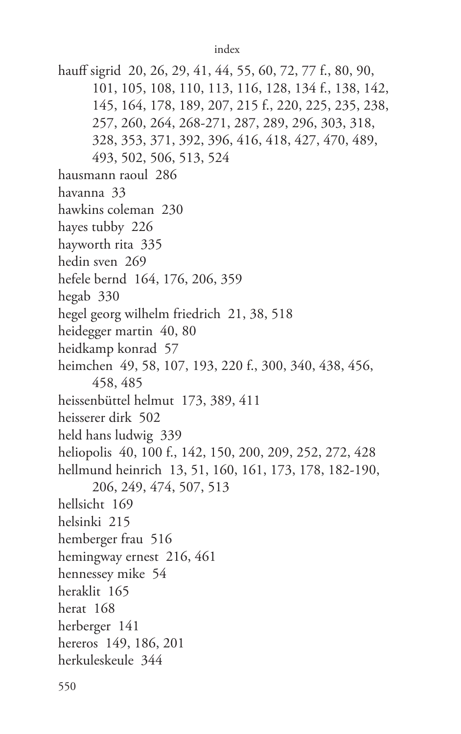hauff sigrid 20, 26, 29, 41, 44, 55, 60, 72, 77 f., 80, 90, 101, 105, 108, 110, 113, 116, 128, 134 f., 138, 142, 145, 164, 178, 189, 207, 215 f., 220, 225, 235, 238, 257, 260, 264, 268-271, 287, 289, 296, 303, 318, 328, 353, 371, 392, 396, 416, 418, 427, 470, 489, 493, 502, 506, 513, 524 hausmann raoul 286 havanna 33 hawkins coleman 230 hayes tubby 226 hayworth rita 335 hedin sven 269 hefele bernd 164, 176, 206, 359 hegab 330 hegel georg wilhelm friedrich 21, 38, 518 heidegger martin 40, 80 heidkamp konrad 57 heimchen 49, 58, 107, 193, 220 f., 300, 340, 438, 456, 458, 485 heissenbüttel helmut 173, 389, 411 heisserer dirk 502 held hans ludwig 339 heliopolis 40, 100 f., 142, 150, 200, 209, 252, 272, 428 hellmund heinrich 13, 51, 160, 161, 173, 178, 182-190, 206, 249, 474, 507, 513 hellsicht 169 helsinki 215 hemberger frau 516 hemingway ernest 216, 461 hennessey mike 54 heraklit 165 herat 168 herberger 141 hereros 149, 186, 201 herkuleskeule 344 550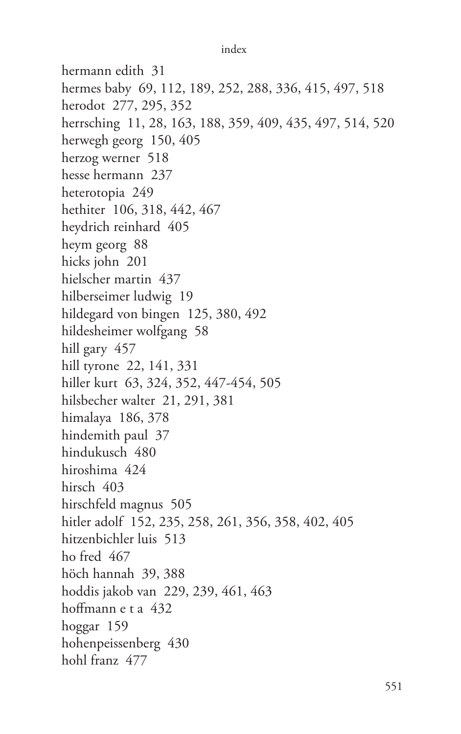hermann edith 31 hermes baby 69, 112, 189, 252, 288, 336, 415, 497, 518 herodot 277, 295, 352 herrsching 11, 28, 163, 188, 359, 409, 435, 497, 514, 520 herwegh georg 150, 405 herzog werner 518 hesse hermann 237 heterotopia 249 hethiter 106, 318, 442, 467 heydrich reinhard 405 heym georg 88 hicks john 201 hielscher martin 437 hilberseimer ludwig 19 hildegard von bingen 125, 380, 492 hildesheimer wolfgang 58 hill gary 457 hill tyrone 22, 141, 331 hiller kurt 63, 324, 352, 447-454, 505 hilsbecher walter 21, 291, 381 himalaya 186, 378 hindemith paul 37 hindukusch 480 hiroshima 424 hirsch 403 hirschfeld magnus 505 hitler adolf 152, 235, 258, 261, 356, 358, 402, 405 hitzenbichler luis 513 ho fred 467 höch hannah 39, 388 hoddis jakob van 229, 239, 461, 463 hoffmann e t a 432 hoggar 159 hohenpeissenberg 430 hohl franz 477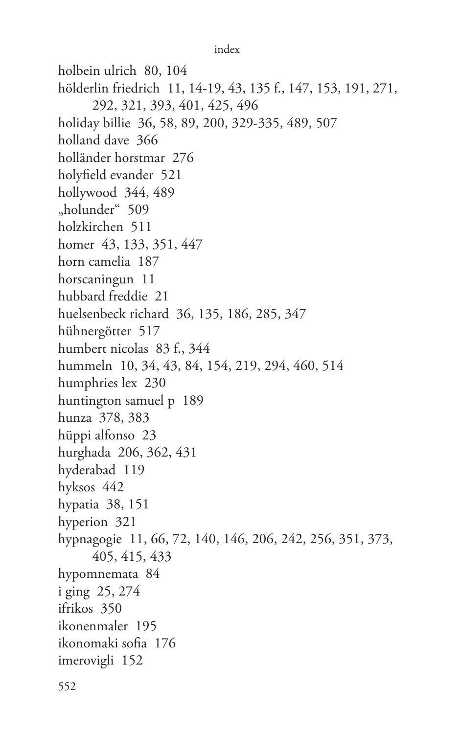holbein ulrich 80, 104 hölderlin friedrich 11, 14-19, 43, 135 f., 147, 153, 191, 271, 292, 321, 393, 401, 425, 496 holiday billie 36, 58, 89, 200, 329-335, 489, 507 holland dave 366 holländer horstmar 276 holyfield evander 521 hollywood 344, 489 "holunder" 509 holzkirchen 511 homer 43, 133, 351, 447 horn camelia 187 horscaningun 11 hubbard freddie 21 huelsenbeck richard 36, 135, 186, 285, 347 hühnergötter 517 humbert nicolas 83 f., 344 hummeln 10, 34, 43, 84, 154, 219, 294, 460, 514 humphries lex 230 huntington samuel p 189 hunza 378, 383 hüppi alfonso 23 hurghada 206, 362, 431 hyderabad 119 hyksos 442 hypatia 38, 151 hyperion 321 hypnagogie 11, 66, 72, 140, 146, 206, 242, 256, 351, 373, 405, 415, 433 hypomnemata 84 *i* ging 25, 274 ifrikos 350 ikonenmaler 195 ikonomaki sofia 176 imerovigli 152 552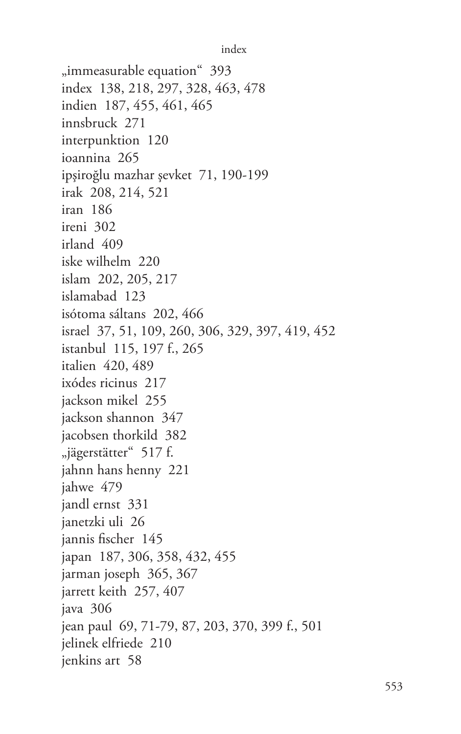```
index
```
"immeasurable equation" 393 index 138, 218, 297, 328, 463, 478 indien 187, 455, 461, 465 innsbruck 271 interpunktion 120 ioannina 265 ipşiroğlu mazhar şevket 71, 190-199 irak 208, 214, 521 iran 186 ireni 302 irland 409 iske wilhelm 220 islam 202, 205, 217 islamabad 123 isótoma sáltans 202.466 israel 37, 51, 109, 260, 306, 329, 397, 419, 452 istanbul 115, 197 f., 265 italien 420, 489 ixódes ricinus 217 jackson mikel 255 jackson shannon 347 jacobsen thorkild 382 "jägerstätter" 517 f. jahnn hans henny 221 jahwe 479 jandl ernst 331 janetzki uli 26 jannis fischer 145 japan 187, 306, 358, 432, 455 jarman joseph 365, 367 jarrett keith 257, 407 java 306 jean paul 69, 71-79, 87, 203, 370, 399 f., 501 jelinek elfriede 210 jenkins art 58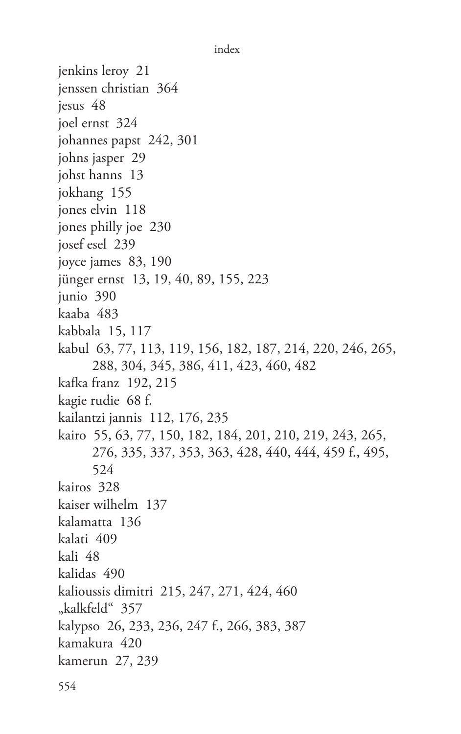```
index
```
jenkins leroy 21 jenssen christian 364 jesus 48 joel ernst 324 johannes papst 242, 301 johns jasper 29 johst hanns 13 jokhang 155 jones elvin 118 jones philly joe 230 josef esel 239 joyce james 83, 190 jünger ernst 13, 19, 40, 89, 155, 223 junio 390 kaaba 483 kabbala 15, 117 kabul 63, 77, 113, 119, 156, 182, 187, 214, 220, 246, 265, 288, 304, 345, 386, 411, 423, 460, 482 kafka franz 192, 215 kagie rudie 68 f. kailantzi jannis 112, 176, 235 kairo 55, 63, 77, 150, 182, 184, 201, 210, 219, 243, 265, 276, 335, 337, 353, 363, 428, 440, 444, 459 f., 495, 524 kairos 328 kaiser wilhelm 137 kalamatta 136 kalati 409 kali 48 kalidas 490 kalioussis dimitri 215, 247, 271, 424, 460 "kalkfeld" 357 kalypso 26, 233, 236, 247 f., 266, 383, 387 kamakura 420 kamerun 27, 239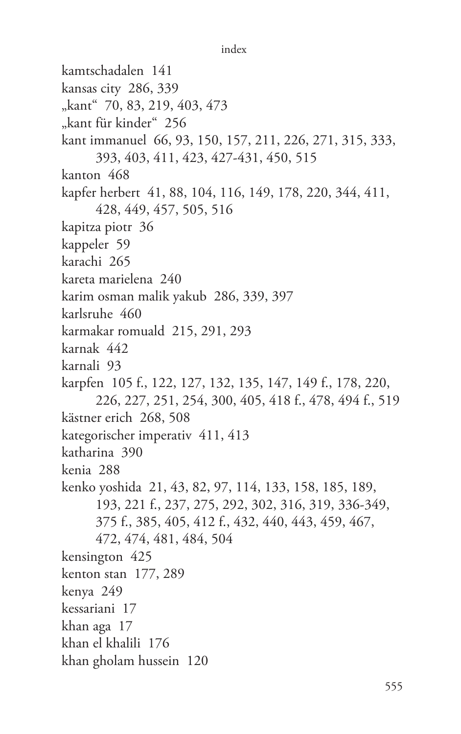```
index
```
kamtschadalen 141 kansas city 286, 339 "kant" 70, 83, 219, 403, 473 "kant für kinder" 256 kant immanuel 66, 93, 150, 157, 211, 226, 271, 315, 333, 393, 403, 411, 423, 427-431, 450, 515 kanton 468 kapfer herbert 41, 88, 104, 116, 149, 178, 220, 344, 411, 428, 449, 457, 505, 516 kapitza piotr 36 kappeler 59 karachi 265 kareta marielena 240 karim osman malik yakub 286, 339, 397 karlsruhe 460 karmakar romuald 215, 291, 293 karnak 442 karnali 93 karpfen 105 f., 122, 127, 132, 135, 147, 149 f., 178, 220, 226, 227, 251, 254, 300, 405, 418 f., 478, 494 f., 519 kästner erich 268, 508 kategorischer imperativ 411, 413 katharina 390 kenia 288 kenko yoshida 21, 43, 82, 97, 114, 133, 158, 185, 189, 193, 221 f., 237, 275, 292, 302, 316, 319, 336-349, 375 f., 385, 405, 412 f., 432, 440, 443, 459, 467, 472, 474, 481, 484, 504 kensington 425 kenton stan 177, 289 kenya 249 kessariani 17 khan aga 17 khan el khalili 176 khan gholam hussein 120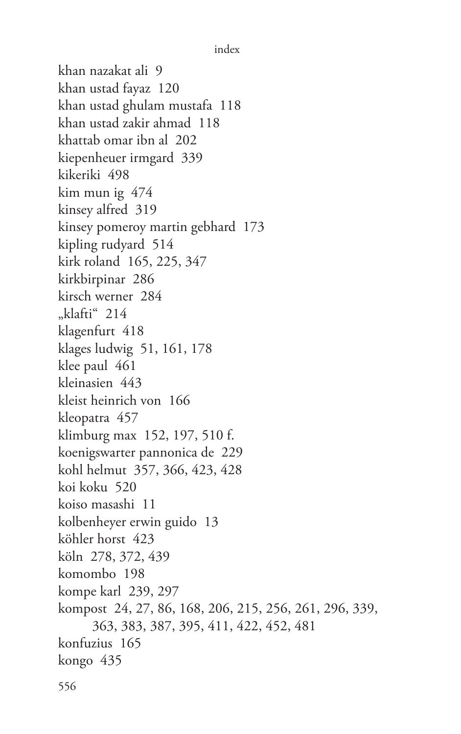```
index
```
khan nazakat ali 9 khan ustad fayaz 120 khan ustad ghulam mustafa 118 khan ustad zakir ahmad 118 khattab omar ibn al 202 kiepenheuer irmgard 339 kikeriki 498 kim mun ig 474 kinsey alfred 319 kinsey pomeroy martin gebhard 173 kipling rudyard 514 kirk roland 165, 225, 347 kirkbirpinar 286 kirsch werner 284 "klafti" 214 klagenfurt 418 klages ludwig 51, 161, 178 klee paul 461 kleinasien 443 kleist heinrich von 166 kleopatra 457 klimburg max 152, 197, 510 f. koenigswarter pannonica de 229 kohl helmut 357, 366, 423, 428 koi koku 520 koiso masashi 11 kolbenheyer erwin guido 13 köhler horst 423 köln 278, 372, 439 komombo 198 kompe karl 239, 297 kompost 24, 27, 86, 168, 206, 215, 256, 261, 296, 339, 363, 383, 387, 395, 411, 422, 452, 481 konfuzius 165 kongo 435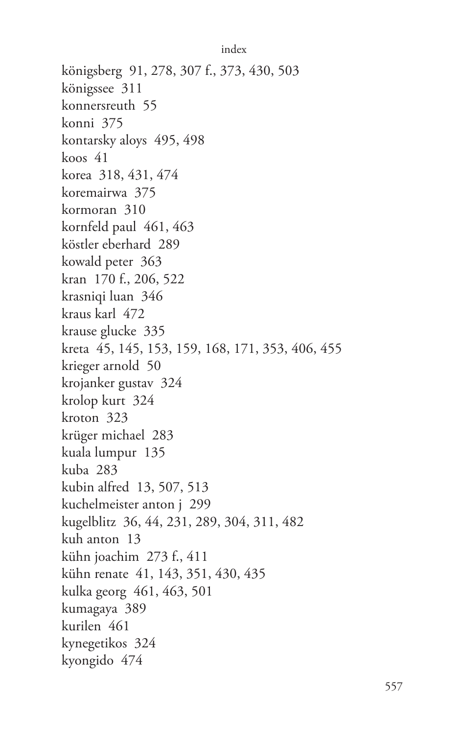königsberg 91, 278, 307 f., 373, 430, 503 königssee 311 konnersreuth 55 konni 375 kontarsky aloys 495, 498 koos 41 korea 318, 431, 474 koremairwa 375 kormoran 310 kornfeld paul 461, 463 köstler eberhard 289 kowald peter 363 kran 170 f., 206, 522 krasniqi luan 346 kraus karl 472 krause glucke 335 kreta 45, 145, 153, 159, 168, 171, 353, 406, 455 krieger arnold 50 krojanker gustav 324 krolop kurt 324 kroton 323 krüger michael 283 kuala lumpur 135 kuba 283 kubin alfred 13, 507, 513 kuchelmeister anton j 299 kugelblitz 36, 44, 231, 289, 304, 311, 482 kuh anton 13 kühn joachim 273 f., 411 kühn renate 41, 143, 351, 430, 435 kulka georg 461, 463, 501 kumagaya 389 kurilen 461 kynegetikos 324 kyongido 474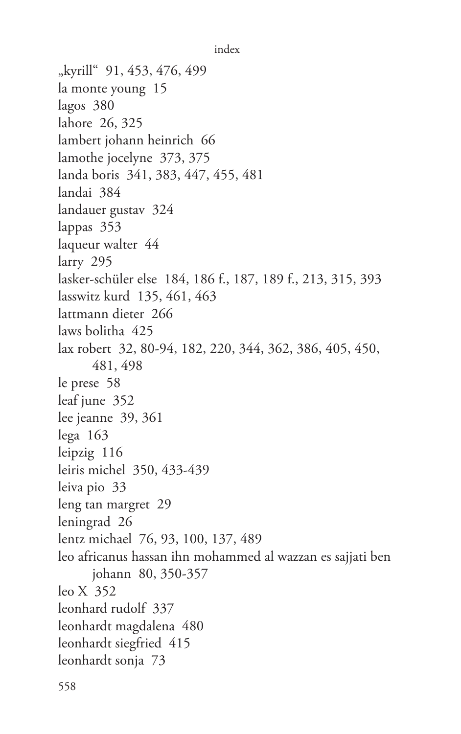```
index
```
"kyrill" 91, 453, 476, 499 la monte young 15 lagos 380 lahore 26, 325 lambert johann heinrich 66 lamothe jocelyne 373, 375 landa boris 341, 383, 447, 455, 481 landai 384 landauer gustav 324 lappas 353 laqueur walter 44 larry 295 lasker-schüler else 184, 186 f., 187, 189 f., 213, 315, 393 lasswitz kurd 135, 461, 463 lattmann dieter 266 laws bolitha 425 lax robert 32, 80-94, 182, 220, 344, 362, 386, 405, 450, 481, 498 le prese 58 leaf june 352 lee jeanne 39, 361 lega 163 leipzig 116 leiris michel 350, 433-439 leiva pio 33 leng tan margret 29 leningrad 26 lentz michael 76, 93, 100, 137, 489 leo africanus hassan ihn mohammed al wazzan es sajjati ben johann 80, 350-357 leo X 352 leonhard rudolf 337 leonhardt magdalena 480 leonhardt siegfried 415 leonhardt sonja 73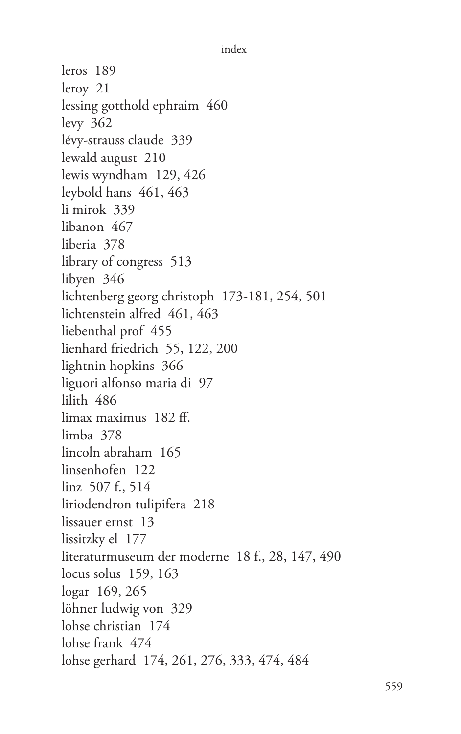leros 189 leroy 21 lessing gotthold ephraim 460 levy 362 lévy-strauss claude 339 lewald august 210 lewis wyndham 129, 426 leybold hans 461, 463 li mirok 339 libanon 467 liberia 378 library of congress 513 libyen 346 lichtenberg georg christoph 173-181, 254, 501 lichtenstein alfred 461, 463 liebenthal prof 455 lienhard friedrich 55, 122, 200 lightnin hopkins 366 liguori alfonso maria di 97 lilith 486 limax maximus 182 ff. limba 378 lincoln abraham 165 linsenhofen 122 linz 507 f., 514 liriodendron tulipifera 218 lissauer ernst 13 lissitzky el 177 literaturmuseum der moderne 18 f., 28, 147, 490 locus solus 159, 163 logar 169, 265 löhner ludwig von 329 lohse christian 174 lohse frank 474 lohse gerhard 174, 261, 276, 333, 474, 484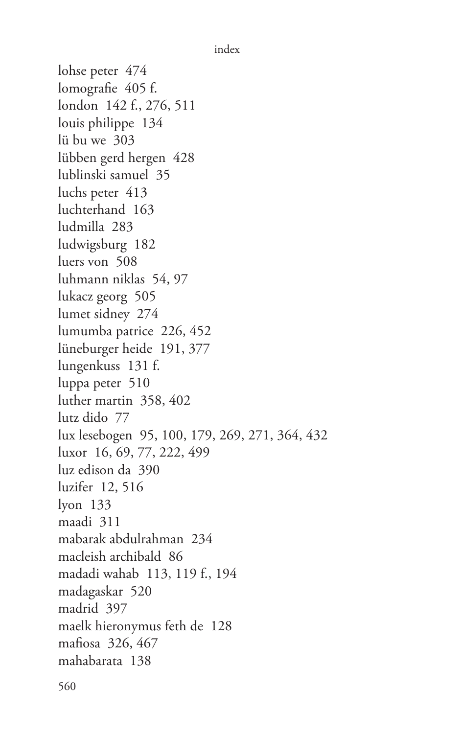lohse peter 474 lomografie 405 f. london 142 f., 276, 511 louis philippe 134 lü bu we 303 lübben gerd hergen 428 lublinski samuel 35 luchs peter 413 luchterhand 163 ludmilla 283 ludwigsburg 182 luers von 508 luhmann niklas 54, 97 lukacz georg 505 lumet sidney 274 lumumba patrice 226, 452 lüneburger heide 191, 377 lungenkuss 131 f. luppa peter 510 luther martin 358, 402 lutz dido 77 lux lesebogen 95, 100, 179, 269, 271, 364, 432 luxor 16, 69, 77, 222, 499 luz edison da 390 luzifer 12, 516 lyon 133 maadi 311 mabarak abdulrahman 234 macleish archibald 86 madadi wahab 113, 119 f., 194 madagaskar 520 madrid 397 maelk hieronymus feth de 128 mafiosa 326, 467 mahabarata 138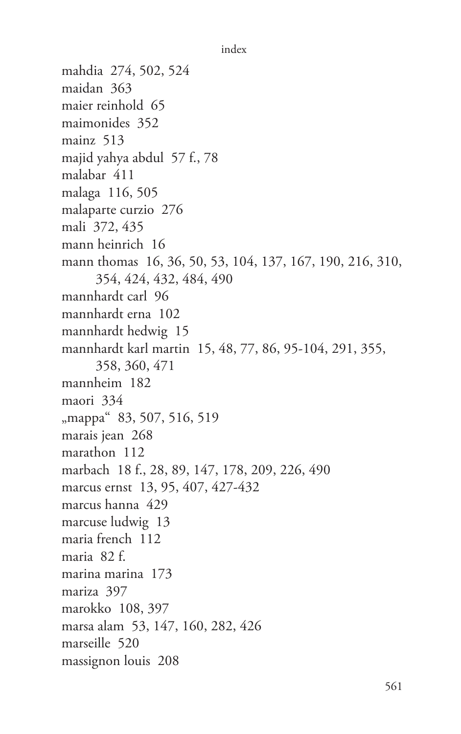```
index
```
mahdia 274, 502, 524 maidan 363 maier reinhold 65 maimonides 352 mainz 513 majid yahya abdul 57 f., 78 malabar 411 malaga 116, 505 malaparte curzio 276 mali 372, 435 mann heinrich 16 mann thomas 16, 36, 50, 53, 104, 137, 167, 190, 216, 310, 354, 424, 432, 484, 490 mannhardt carl 96 mannhardt erna 102 mannhardt hedwig 15 mannhardt karl martin 15, 48, 77, 86, 95-104, 291, 355, 358, 360, 471 mannheim 182 maori 334 "mappa" 83, 507, 516, 519 marais jean 268 marathon 112 marbach 18 f., 28, 89, 147, 178, 209, 226, 490 marcus ernst 13, 95, 407, 427-432 marcus hanna 429 marcuse ludwig 13 maria french 112 maria 82 f. marina marina 173 mariza 397 marokko 108, 397 marsa alam 53, 147, 160, 282, 426 marseille 520 massignon louis 208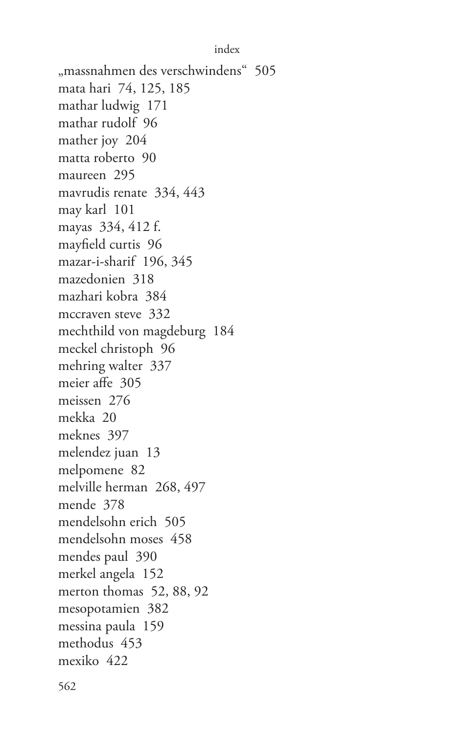"massnahmen des verschwindens" 505 mata hari 74, 125, 185 mathar ludwig 171 mathar rudolf 96 mather joy 204 matta roberto 90 maureen 295 mavrudis renate 334, 443 may karl 101 mayas 334, 412 f. mayfield curtis 96 mazar-i-sharif 196, 345 mazedonien 318 mazhari kobra 384 mccraven steve 332 mechthild von magdeburg 184 meckel christoph 96 mehring walter 337 meier affe 305 meissen 276 mekka 20 meknes 397 melendez juan 13 melpomene 82 melville herman 268, 497 mende 378 mendelsohn erich 505 mendelsohn moses 458 mendes paul 390 merkel angela 152 merton thomas 52, 88, 92 mesopotamien 382 messina paula 159 methodus 453 mexiko 422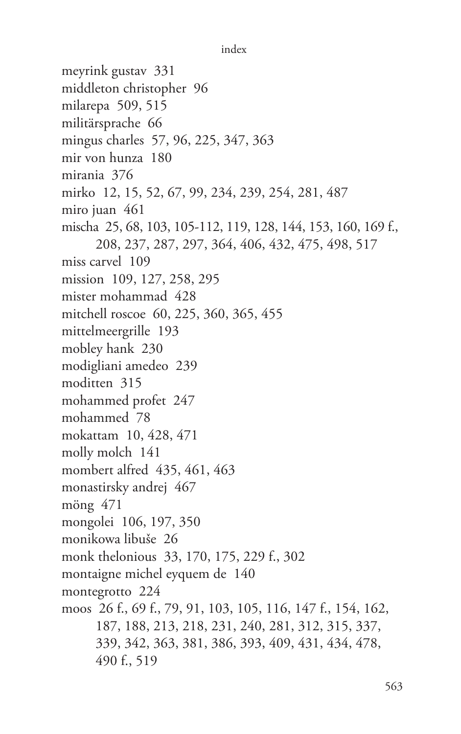```
index
```
meyrink gustav 331 middleton christopher 96 milarepa 509, 515 militärsprache 66 mingus charles 57, 96, 225, 347, 363 mir von hunza 180 mirania 376 mirko 12, 15, 52, 67, 99, 234, 239, 254, 281, 487 miro juan 461 mischa 25, 68, 103, 105-112, 119, 128, 144, 153, 160, 169 f., 208, 237, 287, 297, 364, 406, 432, 475, 498, 517 miss carvel 109 mission 109, 127, 258, 295 mister mohammad 428 mitchell roscoe 60, 225, 360, 365, 455 mittelmeergrille 193 mobley hank 230 modigliani amedeo 239 moditten 315 mohammed profet 247 mohammed 78 mokattam 10, 428, 471 molly molch 141 mombert alfred 435, 461, 463 monastirsky andrej 467  $m\ddot{o}$ ng 471 mongolei 106, 197, 350 monikowa libuše 26 monk thelonious 33, 170, 175, 229 f., 302 montaigne michel eyquem de 140 montegrotto 224 moos 26 f., 69 f., 79, 91, 103, 105, 116, 147 f., 154, 162, 187, 188, 213, 218, 231, 240, 281, 312, 315, 337, 339, 342, 363, 381, 386, 393, 409, 431, 434, 478, 490 f., 519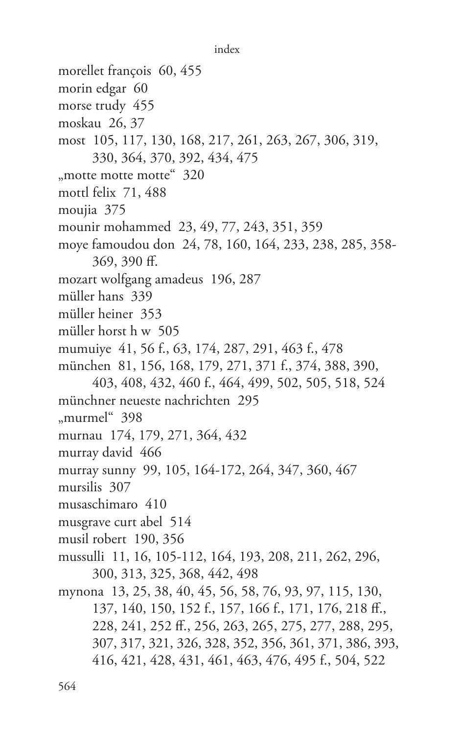```
index
```
morellet françois 60, 455 morin edgar 60 morse trudy 455 moskau 26, 37 most 105, 117, 130, 168, 217, 261, 263, 267, 306, 319, 330, 364, 370, 392, 434, 475 "motte motte motte" 320 mottl felix 71, 488 moujia 375 mounir mohammed 23, 49, 77, 243, 351, 359 moye famoudou don 24, 78, 160, 164, 233, 238, 285, 358-369, 390 ff. mozart wolfgang amadeus 196, 287 müller hans 339 müller heiner 353 müller horst h w 505 mumuiye 41, 56 f., 63, 174, 287, 291, 463 f., 478 münchen 81, 156, 168, 179, 271, 371 f., 374, 388, 390, 403, 408, 432, 460 f., 464, 499, 502, 505, 518, 524 münchner neueste nachrichten 295 "murmel" 398 murnau 174, 179, 271, 364, 432 murray david 466 murray sunny 99, 105, 164-172, 264, 347, 360, 467 mursilis 307 musaschimaro 410 musgrave curt abel 514 musil robert 190, 356 mussulli 11, 16, 105-112, 164, 193, 208, 211, 262, 296, 300, 313, 325, 368, 442, 498 mynona 13, 25, 38, 40, 45, 56, 58, 76, 93, 97, 115, 130, 137, 140, 150, 152 f., 157, 166 f., 171, 176, 218 ff., 228, 241, 252 ff., 256, 263, 265, 275, 277, 288, 295, 307, 317, 321, 326, 328, 352, 356, 361, 371, 386, 393, 416, 421, 428, 431, 461, 463, 476, 495 f., 504, 522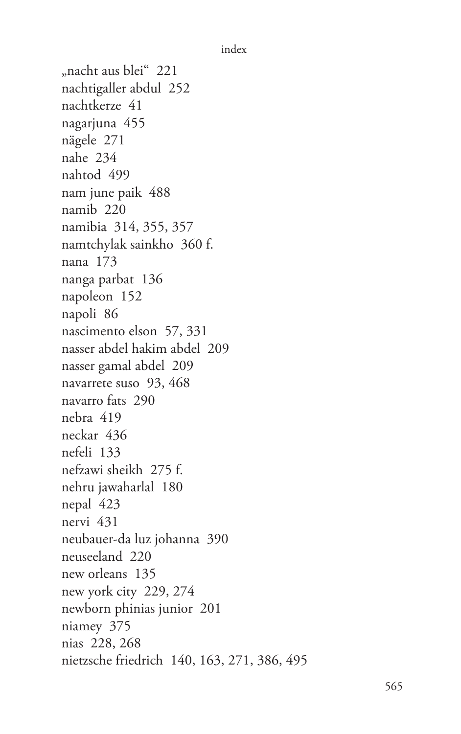"nacht aus blei" 221 nachtigaller abdul 252 nachtkerze 41 nagarjuna 455 nägele 271 nahe 234 nahtod 499 nam june paik 488 namib 220 namibia 314, 355, 357 namtchylak sainkho 360 f. nana 173 nanga parbat 136 napoleon 152 napoli 86 nascimento elson 57, 331 nasser abdel hakim abdel 209 nasser gamal abdel 209 navarrete suso 93, 468 navarro fats 290 nebra 419 neckar 436 nefeli 133 nefzawi sheikh 275 f. nehru jawaharlal 180 nepal 423 nervi 431 neubauer-da luz johanna 390 neuseeland 220 new orleans 135 new york city 229, 274 newborn phinias junior 201 niamey 375 nias 228, 268 nietzsche friedrich 140, 163, 271, 386, 495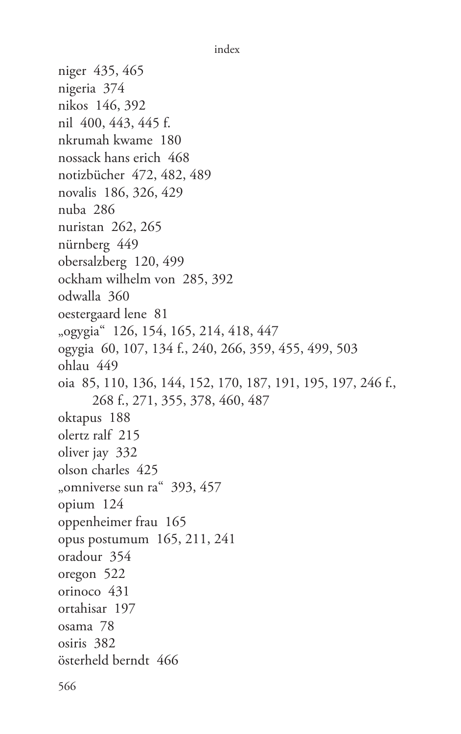```
index
```
niger 435, 465 nigeria 374 nikos 146, 392 nil 400, 443, 445 f. nkrumah kwame 180 nossack hans erich 468 notizbücher 472, 482, 489 novalis 186, 326, 429 nuba 286 nuristan 262, 265 nürnberg 449 obersalzberg 120, 499 ockham wilhelm von 285, 392 odwalla 360 oestergaard lene 81 "ogygia" 126, 154, 165, 214, 418, 447 ogygia 60, 107, 134 f., 240, 266, 359, 455, 499, 503 ohlau 449 oia 85, 110, 136, 144, 152, 170, 187, 191, 195, 197, 246 f., 268 f., 271, 355, 378, 460, 487 oktapus 188 olertz ralf 215 oliver jay 332 olson charles 425 "omniverse sun ra" 393, 457 opium 124 oppenheimer frau 165 opus postumum 165, 211, 241 oradour 354 oregon 522 orinoco 431 ortahisar 197 osama 78 osiris 382 österheld berndt 466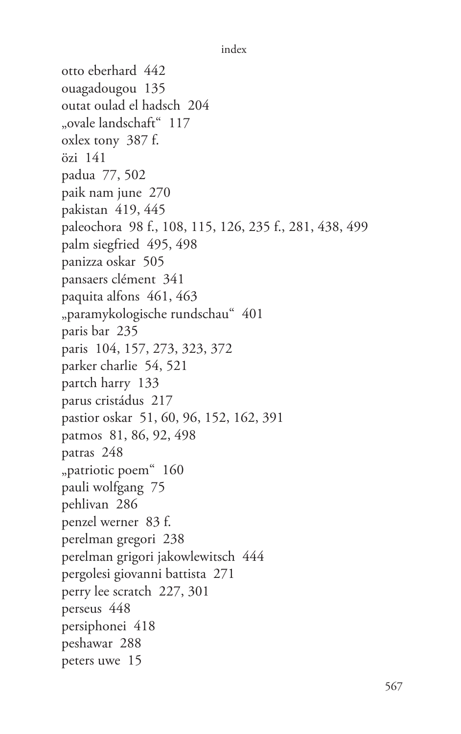```
index
```
otto eberhard 442 ouagadougou 135 outat oulad el hadsch 204 "ovale landschaft" 117 oxlex tony 387 f. özi 141 padua 77, 502 paik nam june 270 pakistan 419, 445 paleochora 98 f., 108, 115, 126, 235 f., 281, 438, 499 palm siegfried 495, 498 panizza oskar 505 pansaers clément 341 paquita alfons 461, 463 "paramykologische rundschau" 401 paris bar 235 paris 104, 157, 273, 323, 372 parker charlie 54, 521 partch harry 133 parus cristádus 217 pastior oskar 51, 60, 96, 152, 162, 391 patmos 81, 86, 92, 498 patras 248 "patriotic poem" 160 pauli wolfgang 75 pehlivan 286 penzel werner 83 f. perelman gregori 238 perelman grigori jakowlewitsch 444 pergolesi giovanni battista 271 perry lee scratch 227, 301 perseus 448 persiphonei 418 peshawar 288 peters uwe 15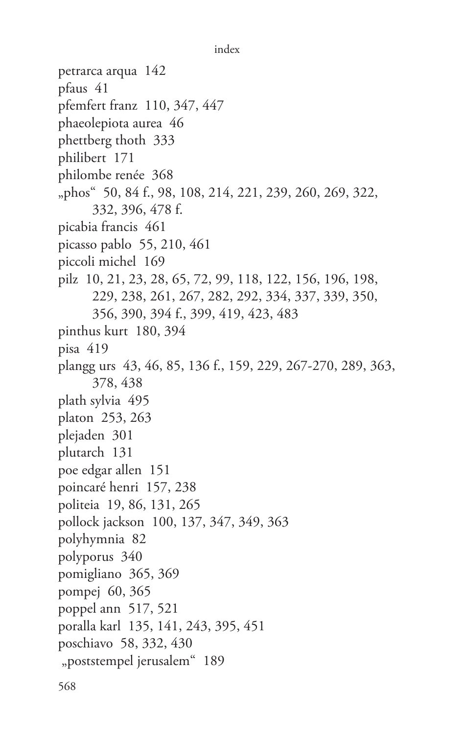```
index
```
petrarca arqua 142 pfaus 41 pfemfert franz 110, 347, 447 phaeolepiota aurea 46 phettberg thoth 333 philibert 171 philombe renée 368 "phos" 50, 84 f., 98, 108, 214, 221, 239, 260, 269, 322, 332, 396, 478 f. picabia francis 461 picasso pablo 55, 210, 461 piccoli michel 169 pilz 10, 21, 23, 28, 65, 72, 99, 118, 122, 156, 196, 198, 229, 238, 261, 267, 282, 292, 334, 337, 339, 350, 356, 390, 394 f., 399, 419, 423, 483 pinthus kurt 180, 394 pisa  $419$ plangg urs 43, 46, 85, 136 f., 159, 229, 267-270, 289, 363, 378, 438 plath sylvia 495 platon 253, 263 plejaden 301 plutarch 131 poe edgar allen 151 poincaré henri 157, 238 politeia 19, 86, 131, 265 pollock jackson 100, 137, 347, 349, 363 polyhymnia 82 polyporus 340 pomigliano 365, 369 pompej 60, 365 poppel ann 517, 521 poralla karl 135, 141, 243, 395, 451 poschiavo 58, 332, 430 "poststempel jerusalem" 189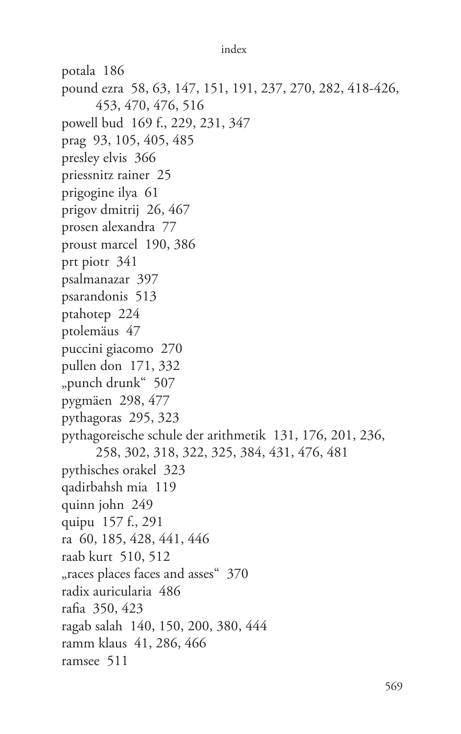potala 186 pound ezra 58, 63, 147, 151, 191, 237, 270, 282, 418-426, 453, 470, 476, 516 powell bud 169 f., 229, 231, 347 prag 93, 105, 405, 485 presley elvis 366 priessnitz rainer 25 prigogine ilya 61 prigov dmitrij 26, 467 prosen alexandra 77 proust marcel 190, 386 prt piotr 341 psalmanazar 397 psarandonis 513 ptahotep 224 ptolemäus 47 puccini giacomo 270 pullen don 171, 332 "punch drunk" 507 pygmäen 298, 477 pythagoras 295, 323 pythagoreische schule der arithmetik 131, 176, 201, 236, 258, 302, 318, 322, 325, 384, 431, 476, 481 pythisches orakel 323 qadirbahsh mia 119 quinn john 249 quipu 157 f., 291 ra 60, 185, 428, 441, 446 raab kurt 510, 512 "races places faces and asses" 370 radix auricularia 486 rafia 350, 423 ragab salah 140, 150, 200, 380, 444 ramm klaus 41, 286, 466 ramsee 511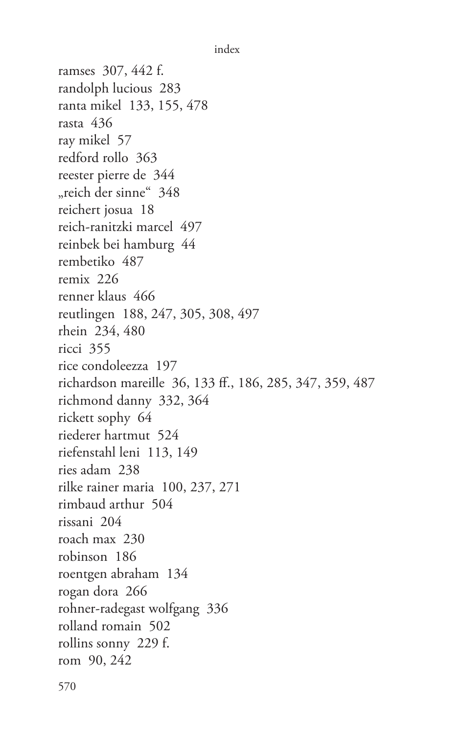```
index
```
ramses 307, 442 f. randolph lucious 283 ranta mikel 133, 155, 478 rasta 436 ray mikel 57 redford rollo 363 reester pierre de 344 "reich der sinne" 348 reichert josua 18 reich-ranitzki marcel 497 reinbek bei hamburg 44 rembetiko 487 remix 226 renner klaus 466 reutlingen 188, 247, 305, 308, 497 rhein 234, 480 ricci 355 rice condoleezza 197 richardson mareille 36, 133 ff., 186, 285, 347, 359, 487 richmond danny 332, 364 rickett sophy 64 riederer hartmut 524 riefenstahl leni 113, 149 ries adam 238 rilke rainer maria 100, 237, 271 rimbaud arthur 504 rissani 204 roach max 230 robinson 186 roentgen abraham 134 rogan dora 266 rohner-radegast wolfgang 336 rolland romain 502 rollins sonny 229 f. rom 90, 242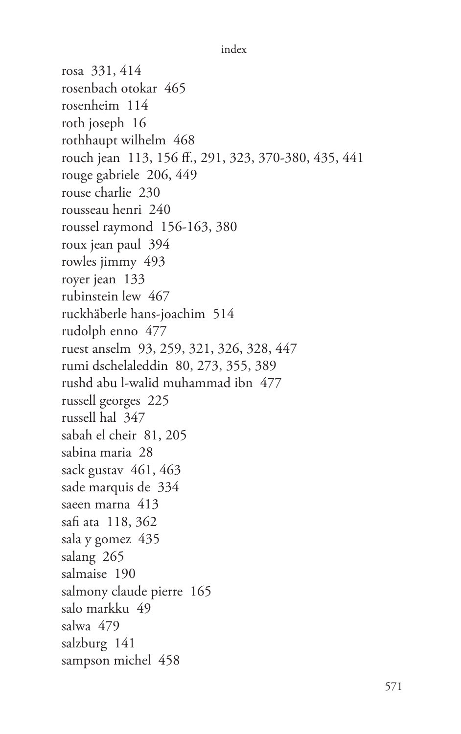```
index
```
rosa 331, 414 rosenbach otokar 465 rosenheim 114 roth joseph 16 rothhaupt wilhelm 468 rouch jean 113, 156 ff., 291, 323, 370-380, 435, 441 rouge gabriele 206, 449 rouse charlie 230 rousseau henri 240 roussel raymond 156-163, 380 roux jean paul 394 rowles jimmy 493 royer jean 133 rubinstein lew 467 ruckhäberle hans-joachim 514 rudolph enno 477 ruest anselm 93, 259, 321, 326, 328, 447 rumi dschelaleddin 80, 273, 355, 389 rushd abu l-walid muhammad ibn 477 russell georges 225 russell hal 347 sabah el cheir 81, 205 sabina maria 28 sack gustav 461, 463 sade marquis de 334 saeen marna 413 safi ata 118, 362 sala y gomez 435 salang 265 salmaise 190 salmony claude pierre 165 salo markku 49 salwa 479 salzburg 141 sampson michel 458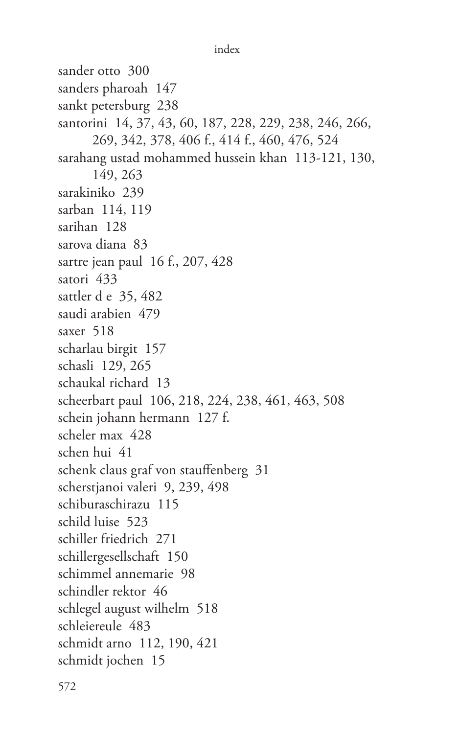```
index
```
sander otto 300 sanders pharoah 147 sankt petersburg 238 santorini 14, 37, 43, 60, 187, 228, 229, 238, 246, 266, 269, 342, 378, 406 f., 414 f., 460, 476, 524 sarahang ustad mohammed hussein khan 113-121, 130, 149, 263 sarakiniko 239 sarban 114, 119 sarihan 128 sarova diana 83 sartre jean paul 16 f., 207, 428 satori 433 sattler d e 35, 482 saudi arabien 479 saxer 518 scharlau birgit 157 schasli 129, 265 schaukal richard 13 scheerbart paul 106, 218, 224, 238, 461, 463, 508 schein johann hermann 127 f. scheler max 428 schen hui 41 schenk claus graf von stauffenberg 31 scherstjanoi valeri 9, 239, 498 schiburaschirazu 115 schild luise 523 schiller friedrich 271 schillergesellschaft 150 schimmel annemarie 98 schindler rektor 46 schlegel august wilhelm 518 schleiereule 483 schmidt arno 112, 190, 421 schmidt jochen 15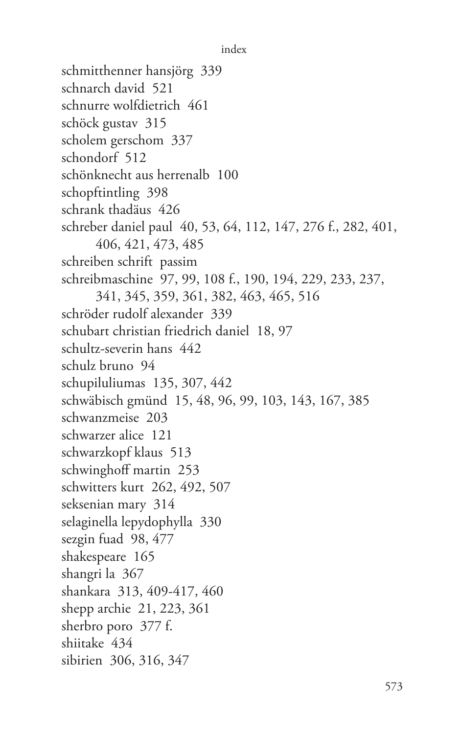```
index
```
schmitthenner hansjörg 339 schnarch david 521 schnurre wolfdietrich 461 schöck gustav 315 scholem gerschom 337 schondorf 512 schönknecht aus herrenalb 100 schopftintling 398 schrank thadäus 426 schreber daniel paul 40, 53, 64, 112, 147, 276 f., 282, 401, 406, 421, 473, 485 schreiben schrift passim schreibmaschine 97, 99, 108 f., 190, 194, 229, 233, 237, 341, 345, 359, 361, 382, 463, 465, 516 schröder rudolf alexander 339 schubart christian friedrich daniel 18, 97 schultz-severin hans 442 schulz bruno 94 schupiluliumas 135, 307, 442 schwäbisch gmünd 15, 48, 96, 99, 103, 143, 167, 385 schwanzmeise 203 schwarzer alice 121 schwarzkopf klaus 513 schwinghoff martin 253 schwitters kurt 262, 492, 507 seksenian mary 314 selaginella lepydophylla 330 sezgin fuad 98, 477 shakespeare 165 shangri la 367 shankara 313, 409-417, 460 shepp archie 21, 223, 361 sherbro poro 377 f. shiitake 434 sibirien 306, 316, 347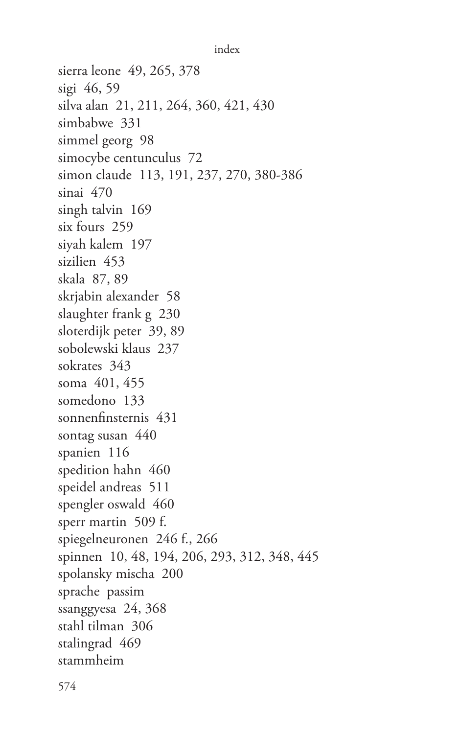```
index
```
sierra leone 49, 265, 378 sigi 46, 59 silva alan 21, 211, 264, 360, 421, 430 simbabwe 331 simmel georg 98 simocybe centunculus 72 simon claude 113, 191, 237, 270, 380-386 sinai 470 singh talvin 169 six fours 259 siyah kalem 197 sizilien 453 skala 87, 89 skrjabin alexander 58 slaughter frank g 230 sloterdijk peter 39,89 sobolewski klaus 237 sokrates 343 soma 401, 455 somedono 133 sonnenfinsternis 431 sontag susan 440 spanien 116 spedition hahn 460 speidel andreas 511 spengler oswald 460 sperr martin 509 f. spiegelneuronen 246 f., 266 spinnen 10, 48, 194, 206, 293, 312, 348, 445 spolansky mischa 200 sprache passim ssanggyesa 24, 368 stahl tilman 306 stalingrad 469 stammheim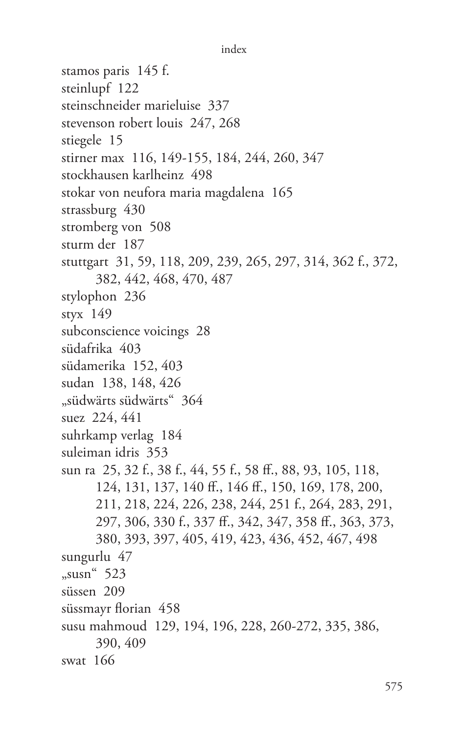```
index
```
stamos paris 145 f. steinlupf 122 steinschneider marieluise 337 stevenson robert louis 247, 268 stiegele 15 stirner max 116, 149-155, 184, 244, 260, 347 stockhausen karlheinz 498 stokar von neufora maria magdalena 165 strassburg 430 stromberg von 508 sturm der 187 stuttgart 31, 59, 118, 209, 239, 265, 297, 314, 362 f., 372, 382, 442, 468, 470, 487 stylophon 236 styx  $149$ subconscience voicings 28 südafrika 403 südamerika 152, 403 sudan 138, 148, 426 "südwärts südwärts" 364 suez 224, 441 suhrkamp verlag 184 suleiman idris 353 sun ra 25, 32 f., 38 f., 44, 55 f., 58 ff., 88, 93, 105, 118, 124, 131, 137, 140 ff., 146 ff., 150, 169, 178, 200, 211, 218, 224, 226, 238, 244, 251 f., 264, 283, 291, 297, 306, 330 f., 337 ff., 342, 347, 358 ff., 363, 373, 380, 393, 397, 405, 419, 423, 436, 452, 467, 498 sungurlu 47 "susn" 523 süssen 209 süssmayr florian 458 susu mahmoud 129, 194, 196, 228, 260-272, 335, 386, 390, 409 swat 166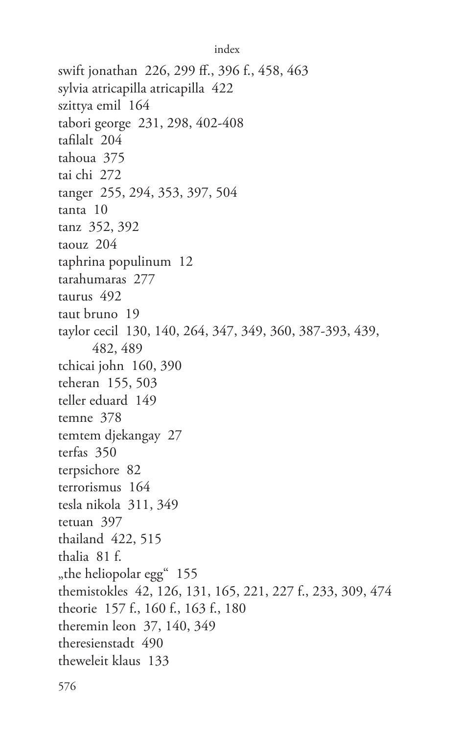swift jonathan 226, 299 ff., 396 f., 458, 463 sylvia atricapilla atricapilla 422 szittya emil 164 tabori george 231, 298, 402-408  $tafllalt$  204 tahoua 375 tai chi 272 tanger 255, 294, 353, 397, 504 tanta 10 tanz 352, 392 taouz 204 taphrina populinum 12 tarahumaras 277 taurus 492 taut bruno 19 taylor cecil 130, 140, 264, 347, 349, 360, 387-393, 439, 482, 489 tchicai john 160, 390 teheran 155, 503 teller eduard 149 temne 378 temtem djekangay 27 terfas 350 terpsichore 82 terrorismus 164 tesla nikola 311, 349 tetuan 397 thailand 422, 515 thalia 81 f. "the heliopolar egg" 155 themistokles 42, 126, 131, 165, 221, 227 f., 233, 309, 474 theorie 157 f., 160 f., 163 f., 180 theremin leon 37, 140, 349 theresienstadt 490 theweleit klaus 133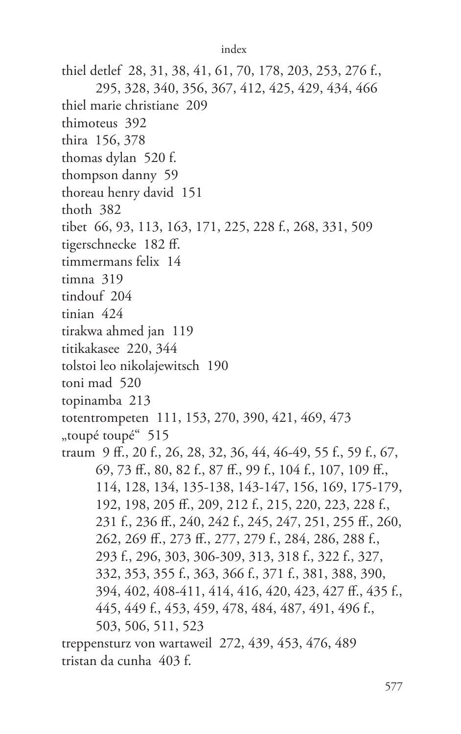thiel detlef 28, 31, 38, 41, 61, 70, 178, 203, 253, 276 f., 295, 328, 340, 356, 367, 412, 425, 429, 434, 466 thiel marie christiane 209 thimoteus 392 thira 156, 378 thomas dylan 520 f. thompson danny 59 thoreau henry david 151 thoth 382 tibet 66, 93, 113, 163, 171, 225, 228 f., 268, 331, 509 tigerschnecke 182 ff. timmermans felix 14 timna 319 tindouf 204 tinian 424 tirakwa ahmed jan 119 titikakasee 220, 344 tolstoi leo nikolajewitsch 190 toni mad 520 topinamba 213 totentrompeten 111, 153, 270, 390, 421, 469, 473 "toupé toupé" 515 traum 9 ff., 20 f., 26, 28, 32, 36, 44, 46-49, 55 f., 59 f., 67, 69, 73 ff., 80, 82 f., 87 ff., 99 f., 104 f., 107, 109 ff., 114, 128, 134, 135-138, 143-147, 156, 169, 175-179, 192, 198, 205 ff., 209, 212 f., 215, 220, 223, 228 f., 231 f., 236 ff., 240, 242 f., 245, 247, 251, 255 ff., 260, 262, 269 ff., 273 ff., 277, 279 f., 284, 286, 288 f., 293 f., 296, 303, 306-309, 313, 318 f., 322 f., 327, 332, 353, 355 f., 363, 366 f., 371 f., 381, 388, 390, 394, 402, 408-411, 414, 416, 420, 423, 427 ff., 435 f., 445, 449 f., 453, 459, 478, 484, 487, 491, 496 f., 503, 506, 511, 523 treppensturz von wartaweil 272, 439, 453, 476, 489

tristan da cunha 403 f.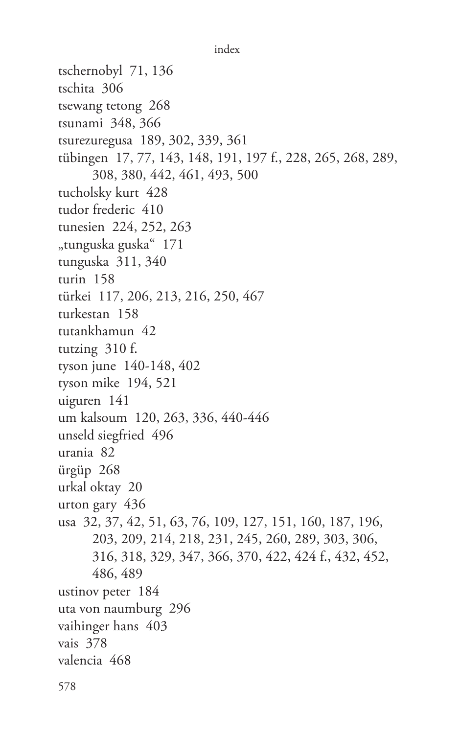```
index
```

```
tschernobyl 71, 136
tschita 306
tsewang tetong 268
tsunami 348, 366
tsurezuregusa 189, 302, 339, 361
tübingen 17, 77, 143, 148, 191, 197 f., 228, 265, 268, 289,
     308, 380, 442, 461, 493, 500
tucholsky kurt 428
tudor frederic 410
tunesien 224, 252, 263
"tunguska guska" 171
tunguska 311, 340
turin 158
türkei 117, 206, 213, 216, 250, 467
turkestan 158
tutankhamun 42
tutzing 310 f.
tyson june 140-148, 402
tyson mike 194, 521
uiguren 141
um kalsoum 120, 263, 336, 440-446
unseld siegfried 496
urania 82
ürgüp 268
urkal oktay 20
urton gary 436usa 32, 37, 42, 51, 63, 76, 109, 127, 151, 160, 187, 196,
     203, 209, 214, 218, 231, 245, 260, 289, 303, 306,
     316, 318, 329, 347, 366, 370, 422, 424 f., 432, 452,
     486, 489
ustinov peter 184
uta von naumburg 296
vaihinger hans 403
vais 378
valencia 468
578
```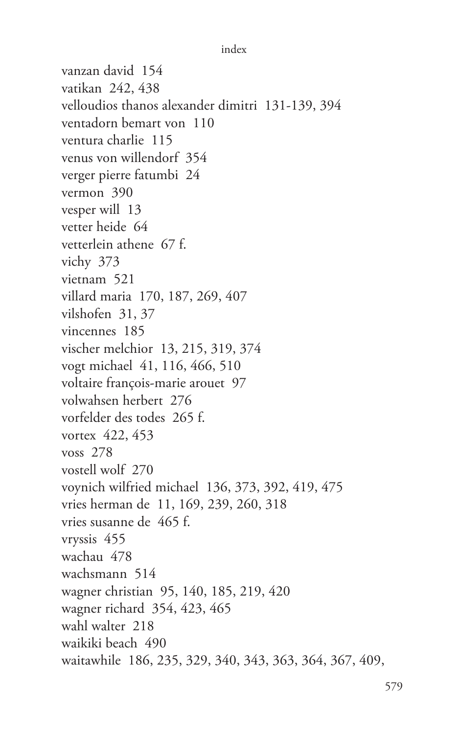```
index
```
vanzan david 154 vatikan 242, 438 velloudios thanos alexander dimitri 131-139, 394 ventadorn bemart von 110 ventura charlie 115 venus von willendorf 354 verger pierre fatumbi 24 vermon 390 vesper will 13 vetter heide 64 vetterlein athene 67 f. vichy 373 vietnam 521 villard maria 170, 187, 269, 407 vilshofen 31, 37 vincennes 185 vischer melchior 13, 215, 319, 374 vogt michael 41, 116, 466, 510 voltaire françois-marie arouet 97 volwahsen herbert 276 vorfelder des todes 265 f. vortex 422, 453 voss 278 vostell wolf 270 voynich wilfried michael 136, 373, 392, 419, 475 vries herman de 11, 169, 239, 260, 318 vries susanne de 465 f. vryssis 455 wachau 478 wachsmann 514 wagner christian 95, 140, 185, 219, 420 wagner richard 354, 423, 465 wahl walter 218 waikiki heach 490 waitawhile 186, 235, 329, 340, 343, 363, 364, 367, 409,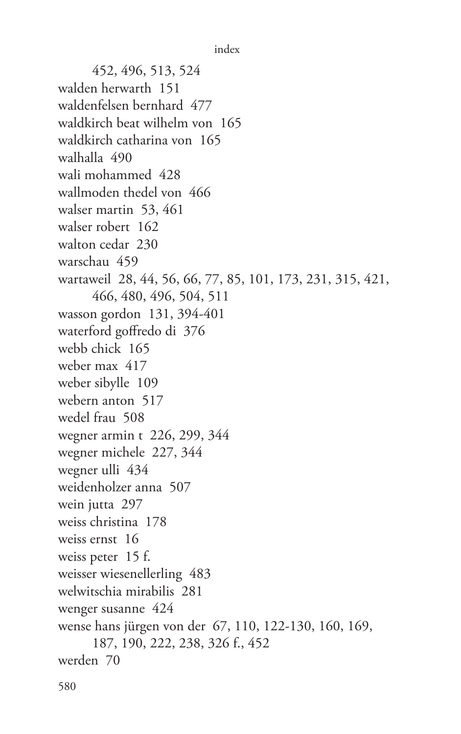```
index
```
452, 496, 513, 524 walden herwarth 151 waldenfelsen bernhard 477 waldkirch beat wilhelm von 165 waldkirch catharina von 165 walhalla 490 wali mohammed 428 wallmoden thedel von 466 walser martin 53, 461 walser robert 162 walton cedar 230 warschau 459 wartaweil 28, 44, 56, 66, 77, 85, 101, 173, 231, 315, 421, 466, 480, 496, 504, 511 wasson gordon 131, 394-401 waterford goffredo di 376 webb chick 165 weber max 417 weber sibylle 109 webern anton 517 wedel frau 508 wegner armin t 226, 299, 344 wegner michele 227, 344 wegner ulli 434 weidenholzer anna 507 wein jutta 297 weiss christina 178 weiss ernst 16 weiss peter 15 f. weisser wiesenellerling 483 welwitschia mirabilis 281 wenger susanne 424 wense hans jürgen von der 67, 110, 122-130, 160, 169, 187, 190, 222, 238, 326 f., 452 werden 70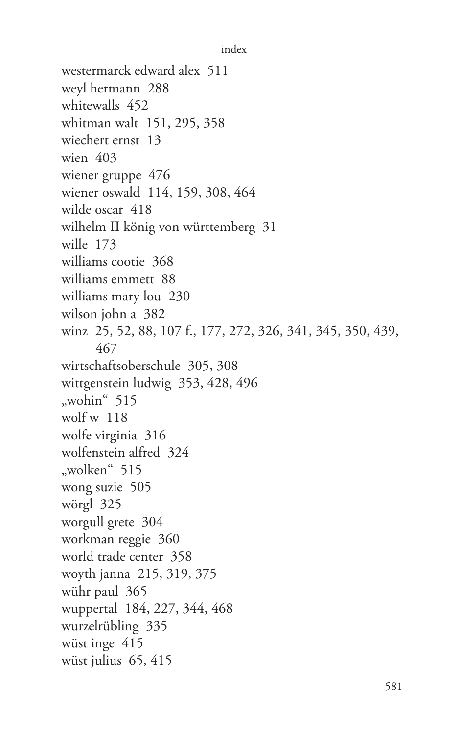```
index
```
westermarck edward alex 511 weyl hermann 288 whitewalls 452 whitman walt 151, 295, 358 wiechert ernst 13 wien 403 wiener gruppe 476 wiener oswald 114, 159, 308, 464 wilde oscar 418 wilhelm II könig von württemberg 31 wille 173 williams cootie 368 williams emmett 88 williams mary lou 230 wilson john a 382 winz 25, 52, 88, 107 f., 177, 272, 326, 341, 345, 350, 439, 467 wirtschaftsoberschule 305, 308 wittgenstein ludwig 353, 428, 496 "wohin" 515 wolf w 118 wolfe virginia 316 wolfenstein alfred 324 "wolken" 515 wong suzie 505 wörgl 325 worgull grete 304 workman reggie 360 world trade center 358 woyth janna 215, 319, 375 wühr paul 365 wuppertal 184, 227, 344, 468 wurzelrübling 335 wüst inge 415 wüst julius 65, 415